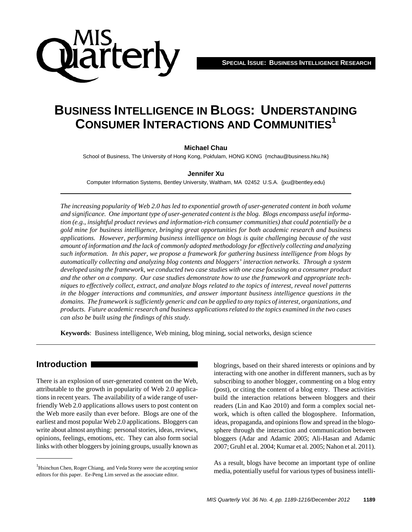

# **BUSINESS INTELLIGENCE IN BLOGS: UNDERSTANDING CONSUMER INTERACTIONS AND COMMUNITIES1**

#### **Michael Chau**

School of Business, The University of Hong Kong, Pokfulam, HONG KONG {mchau@business.hku.hk}

#### **Jennifer Xu**

Computer Information Systems, Bentley University, Waltham, MA 02452 U.S.A. {jxu@bentley.edu}

*The increasing popularity of Web 2.0 has led to exponential growth of user-generated content in both volume and significance. One important type of user-generated content is the blog. Blogs encompass useful information (e.g., insightful product reviews and information-rich consumer communities) that could potentially be a gold mine for business intelligence, bringing great opportunities for both academic research and business applications. However, performing business intelligence on blogs is quite challenging because of the vast amount of information and the lack of commonly adopted methodology for effectively collecting and analyzing such information. In this paper, we propose a framework for gathering business intelligence from blogs by automatically collecting and analyzing blog contents and bloggers' interaction networks. Through a system developed using the framework, we conducted two case studies with one case focusing on a consumer product and the other on a company. Our case studies demonstrate how to use the framework and appropriate techniques to effectively collect, extract, and analyze blogs related to the topics of interest, reveal novel patterns in the blogger interactions and communities, and answer important business intelligence questions in the domains. The framework is sufficiently generic and can be applied to any topics of interest, organizations, and products. Future academic research and business applications related to the topics examined in the two cases can also be built using the findings of this study.*

**Keywords**: Business intelligence, Web mining, blog mining, social networks, design science

### **Introduction**

There is an explosion of user-generated content on the Web, attributable to the growth in popularity of Web 2.0 applications in recent years. The availability of a wide range of userfriendly Web 2.0 applications allows users to post content on the Web more easily than ever before. Blogs are one of the earliest and most popular Web 2.0 applications. Bloggers can write about almost anything: personal stories, ideas, reviews, opinions, feelings, emotions, etc. They can also form social links with other bloggers by joining groups, usually known as

blogrings, based on their shared interests or opinions and by interacting with one another in different manners, such as by subscribing to another blogger, commenting on a blog entry (post), or citing the content of a blog entry. These activities build the interaction relations between bloggers and their readers (Lin and Kao 2010) and form a complex social network, which is often called the blogosphere. Information, ideas, propaganda, and opinions flow and spread in the blogosphere through the interaction and communication between bloggers (Adar and Adamic 2005; Ali-Hasan and Adamic 2007; Gruhl et al. 2004; Kumar et al. 2005; Nahon et al. 2011).

As a result, blogs have become an important type of online media, potentially useful for various types of business intelli- <sup>1</sup>

<sup>&</sup>lt;sup>1</sup>Hsinchun Chen, Roger Chiang, and Veda Storey were the accepting senior editors for this paper. Ee-Peng Lim served as the associate editor.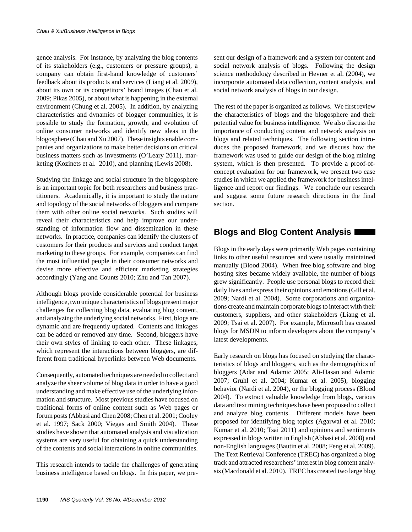gence analysis. For instance, by analyzing the blog contents of its stakeholders (e.g., customers or pressure groups), a company can obtain first-hand knowledge of customers' feedback about its products and services (Liang et al. 2009), about its own or its competitors' brand images (Chau et al. 2009; Pikas 2005), or about what is happening in the external environment (Chung et al. 2005). In addition, by analyzing characteristics and dynamics of blogger communities, it is possible to study the formation, growth, and evolution of online consumer networks and identify new ideas in the blogosphere (Chau and Xu 2007). These insights enable companies and organizations to make better decisions on critical business matters such as investments (O'Leary 2011), marketing (Kozinets et al. 2010), and planning (Lewis 2008).

Studying the linkage and social structure in the blogosphere is an important topic for both researchers and business practitioners. Academically, it is important to study the nature and topology of the social networks of bloggers and compare them with other online social networks. Such studies will reveal their characteristics and help improve our understanding of information flow and dissemination in these networks. In practice, companies can identify the clusters of customers for their products and services and conduct target marketing to these groups. For example, companies can find the most influential people in their consumer networks and devise more effective and efficient marketing strategies accordingly (Yang and Counts 2010; Zhu and Tan 2007).

Although blogs provide considerable potential for business intelligence, two unique characteristics of blogs present major challenges for collecting blog data, evaluating blog content, and analyzing the underlying social networks. First, blogs are dynamic and are frequently updated. Contents and linkages can be added or removed any time. Second, bloggers have their own styles of linking to each other. These linkages, which represent the interactions between bloggers, are different from traditional hyperlinks between Web documents.

Consequently, automated techniques are needed to collect and analyze the sheer volume of blog data in order to have a good understanding and make effective use of the underlying information and structure. Most previous studies have focused on traditional forms of online content such as Web pages or forum posts (Abbasi and Chen 2008; Chen et al. 2001; Cooley et al. 1997; Sack 2000; Viegas and Smith 2004). These studies have shown that automated analysis and visualization systems are very useful for obtaining a quick understanding of the contents and social interactions in online communities.

This research intends to tackle the challenges of generating business intelligence based on blogs. In this paper, we present our design of a framework and a system for content and social network analysis of blogs. Following the design science methodology described in Hevner et al. (2004), we incorporate automated data collection, content analysis, and social network analysis of blogs in our design.

The rest of the paper is organized as follows. We first review the characteristics of blogs and the blogosphere and their potential value for business intelligence. We also discuss the importance of conducting content and network analysis on blogs and related techniques. The following section introduces the proposed framework, and we discuss how the framework was used to guide our design of the blog mining system, which is then presented. To provide a proof-ofconcept evaluation for our framework, we present two case studies in which we applied the framework for business intelligence and report our findings. We conclude our research and suggest some future research directions in the final section.

# **Blogs and Blog Content Analysis**

Blogs in the early days were primarily Web pages containing links to other useful resources and were usually maintained manually (Blood 2004). When free blog software and blog hosting sites became widely available, the number of blogs grew significantly. People use personal blogs to record their daily lives and express their opinions and emotions (Gill et al. 2009; Nardi et al. 2004). Some corporations and organizations create and maintain corporate blogs to interact with their customers, suppliers, and other stakeholders (Liang et al. 2009; Tsai et al. 2007). For example, Microsoft has created blogs for MSDN to inform developers about the company's latest developments.

Early research on blogs has focused on studying the characteristics of blogs and bloggers, such as the demographics of bloggers (Adar and Adamic 2005; Ali-Hasan and Adamic 2007; Gruhl et al. 2004; Kumar et al. 2005), blogging behavior (Nardi et al. 2004), or the blogging process (Blood 2004). To extract valuable knowledge from blogs, various data and text mining techniques have been proposed to collect and analyze blog contents. Different models have been proposed for identifying blog topics (Agarwal et al. 2010; Kumar et al. 2010; Tsai 2011) and opinions and sentiments expressed in blogs written in English (Abbasi et al. 2008) and non-English languages (Bautin et al. 2008; Feng et al. 2009). The Text Retrieval Conference (TREC) has organized a blog track and attracted researchers' interest in blog content analysis (Macdonald et al. 2010). TREC has created two large blog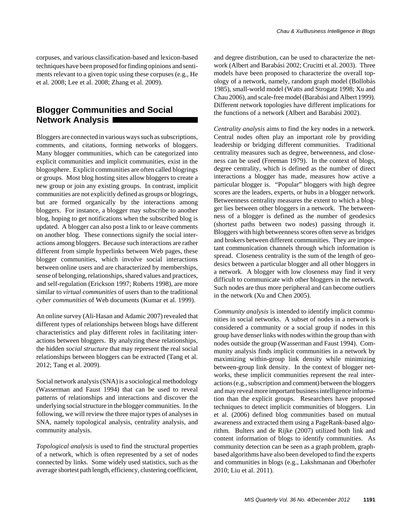corpuses, and various classification-based and lexicon-based techniques have been proposed for finding opinions and sentiments relevant to a given topic using these corpuses (e.g., He et al. 2008; Lee et al. 2008; Zhang et al. 2009).

### **Blogger Communities and Social Network Analysis**

Bloggers are connected in various ways such as subscriptions, comments, and citations, forming networks of bloggers. Many blogger communities, which can be categorized into explicit communities and implicit communities, exist in the blogosphere. Explicit communities are often called blogrings or groups. Most blog hosting sites allow bloggers to create a new group or join any existing groups. In contrast, implicit communities are not explicitly defined as groups or blogrings, but are formed organically by the interactions among bloggers. For instance, a blogger may subscribe to another blog, hoping to get notifications when the subscribed blog is updated. A blogger can also post a link to or leave comments on another blog. These connections signify the social interactions among bloggers. Because such interactions are rather different from simple hyperlinks between Web pages, these blogger communities, which involve social interactions between online users and are characterized by memberships, sense of belonging, relationships, shared values and practices, and self-regulation (Erickson 1997; Roberts 1998), are more similar to *virtual communities* of users than to the traditional *cyber communities* of Web documents (Kumar et al. 1999).

An online survey (Ali-Hasan and Adamic 2007) revealed that different types of relationships between blogs have different characteristics and play different roles in facilitating interactions between bloggers. By analyzing these relationships, the hidden *social structure* that may represent the real social relationships between bloggers can be extracted (Tang et al. 2012; Tang et al. 2009).

Social network analysis (SNA) is a sociological methodology (Wasserman and Faust 1994) that can be used to reveal patterns of relationships and interactions and discover the underlying social structure in the blogger communities. In the following, we will review the three major types of analyses in SNA, namely topological analysis, centrality analysis, and community analysis.

*Topological analysis* is used to find the structural properties of a network, which is often represented by a set of nodes connected by links. Some widely used statistics, such as the average shortest path length, efficiency, clustering coefficient, and degree distribution, can be used to characterize the network (Albert and Barabási 2002; Crucitti et al. 2003). Three models have been proposed to characterize the overall topology of a network, namely, random graph model (Bollobás 1985), small-world model (Watts and Strogatz 1998; Xu and Chau 2006), and scale-free model (Barabási and Albert 1999). Different network topologies have different implications for the functions of a network (Albert and Barabási 2002).

*Centrality analysis* aims to find the key nodes in a network. Central nodes often play an important role by providing leadership or bridging different communities. Traditional centrality measures such as degree, betweenness, and closeness can be used (Freeman 1979). In the context of blogs, degree centrality, which is defined as the number of direct interactions a blogger has made, measures how active a particular blogger is. "Popular" bloggers with high degree scores are the leaders, experts, or hubs in a blogger network. Betweenness centrality measures the extent to which a blogger lies between other bloggers in a network. The betweenness of a blogger is defined as the number of geodesics (shortest paths between two nodes) passing through it. Bloggers with high betweenness scores often serve as bridges and brokers between different communities. They are important communication channels through which information is spread. Closeness centrality is the sum of the length of geodesics between a particular blogger and all other bloggers in a network. A blogger with low closeness may find it very difficult to communicate with other bloggers in the network. Such nodes are thus more peripheral and can become outliers in the network (Xu and Chen 2005).

*Community analysis* is intended to identify implicit communities in social networks. A subset of nodes in a network is considered a community or a social group if nodes in this group have denser links with nodes within the group than with nodes outside the group (Wasserman and Faust 1994). Community analysis finds implicit communities in a network by maximizing within-group link density while minimizing between-group link density. In the context of blogger networks, these implicit communities represent the real interactions (e.g., subscription and comment) between the bloggers and may reveal more important business intelligence information than the explicit groups. Researchers have proposed techniques to detect implicit communities of bloggers. Lin et al. (2006) defined blog communities based on mutual awareness and extracted them using a PageRank-based algorithm. Bulters and de Rijke (2007) utilized both link and content information of blogs to identify communities. As community detection can be seen as a graph problem, graphbased algorithms have also been developed to find the experts and communities in blogs (e.g., Lakshmanan and Oberhofer 2010; Liu et al. 2011).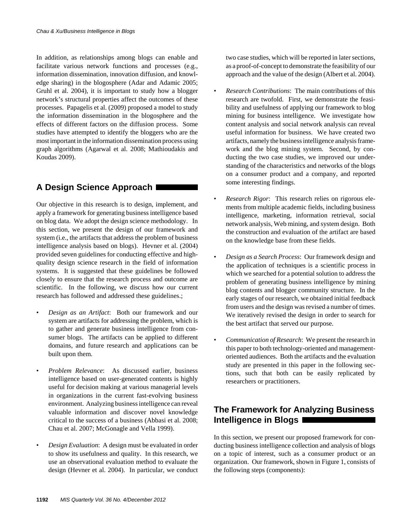In addition, as relationships among blogs can enable and facilitate various network functions and processes (e.g., information dissemination, innovation diffusion, and knowledge sharing) in the blogosphere (Adar and Adamic 2005; Gruhl et al. 2004), it is important to study how a blogger network's structural properties affect the outcomes of these processes. Papagelis et al. (2009) proposed a model to study the information dissemination in the blogosphere and the effects of different factors on the diffusion process. Some studies have attempted to identify the bloggers who are the most important in the information dissemination process using graph algorithms (Agarwal et al. 2008; Mathioudakis and Koudas 2009).

# **A Design Science Approach**

Our objective in this research is to design, implement, and apply a framework for generating business intelligence based on blog data. We adopt the design science methodology. In this section, we present the design of our framework and system (i.e., the artifacts that address the problem of business intelligence analysis based on blogs). Hevner et al. (2004) provided seven guidelines for conducting effective and highquality design science research in the field of information systems. It is suggested that these guidelines be followed closely to ensure that the research process and outcome are scientific. In the following, we discuss how our current research has followed and addressed these guidelines.;

- *Design as an Artifact*: Both our framework and our system are artifacts for addressing the problem, which is to gather and generate business intelligence from consumer blogs. The artifacts can be applied to different domains, and future research and applications can be built upon them.
- *Problem Relevance*: As discussed earlier, business intelligence based on user-generated contents is highly useful for decision making at various managerial levels in organizations in the current fast-evolving business environment. Analyzing business intelligence can reveal valuable information and discover novel knowledge critical to the success of a business (Abbasi et al. 2008; Chau et al. 2007; McGonagle and Vella 1999).
- *Design Evaluation*: A design must be evaluated in order to show its usefulness and quality. In this research, we use an observational evaluation method to evaluate the design (Hevner et al. 2004). In particular, we conduct

two case studies, which will be reported in later sections, as a proof-of-concept to demonstrate the feasibility of our approach and the value of the design (Albert et al. 2004).

- *Research Contributions*: The main contributions of this research are twofold. First, we demonstrate the feasibility and usefulness of applying our framework to blog mining for business intelligence. We investigate how content analysis and social network analysis can reveal useful information for business. We have created two artifacts, namely the business intelligence analysis framework and the blog mining system. Second, by conducting the two case studies, we improved our understanding of the characteristics and networks of the blogs on a consumer product and a company, and reported some interesting findings.
- *Research Rigor*: This research relies on rigorous elements from multiple academic fields, including business intelligence, marketing, information retrieval, social network analysis, Web mining, and system design. Both the construction and evaluation of the artifact are based on the knowledge base from these fields.
- *Design as a Search Process*: Our framework design and the application of techniques is a scientific process in which we searched for a potential solution to address the problem of generating business intelligence by mining blog contents and blogger community structure. In the early stages of our research, we obtained initial feedback from users and the design was revised a number of times. We iteratively revised the design in order to search for the best artifact that served our purpose.
- *Communication of Research*: We present the research in this paper to both technology-oriented and managementoriented audiences. Both the artifacts and the evaluation study are presented in this paper in the following sections, such that both can be easily replicated by researchers or practitioners.

# **The Framework for Analyzing Business Intelligence in Blogs**

In this section, we present our proposed framework for conducting business intelligence collection and analysis of blogs on a topic of interest, such as a consumer product or an organization. Our framework, shown in Figure 1, consists of the following steps (components):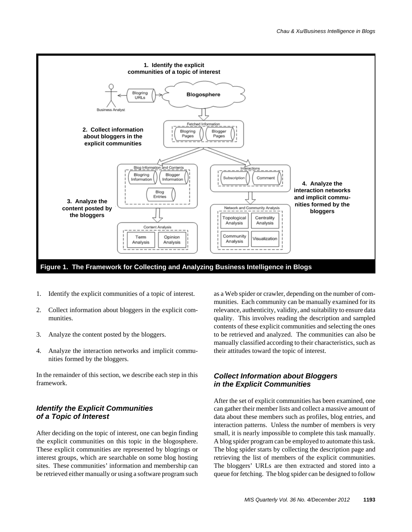

- 1. Identify the explicit communities of a topic of interest.
- 2. Collect information about bloggers in the explicit communities.
- 3. Analyze the content posted by the bloggers.
- 4. Analyze the interaction networks and implicit communities formed by the bloggers.

In the remainder of this section, we describe each step in this framework.

### *Identify the Explicit Communities of a Topic of Interest*

After deciding on the topic of interest, one can begin finding the explicit communities on this topic in the blogosphere. These explicit communities are represented by blogrings or interest groups, which are searchable on some blog hosting sites. These communities' information and membership can be retrieved either manually or using a software program such as a Web spider or crawler, depending on the number of communities. Each community can be manually examined for its relevance, authenticity, validity, and suitability to ensure data quality. This involves reading the description and sampled contents of these explicit communities and selecting the ones to be retrieved and analyzed. The communities can also be manually classified according to their characteristics, such as their attitudes toward the topic of interest.

### *Collect Information about Bloggers in the Explicit Communities*

After the set of explicit communities has been examined, one can gather their member lists and collect a massive amount of data about these members such as profiles, blog entries, and interaction patterns. Unless the number of members is very small, it is nearly impossible to complete this task manually. A blog spider program can be employed to automate this task. The blog spider starts by collecting the description page and retrieving the list of members of the explicit communities. The bloggers' URLs are then extracted and stored into a queue for fetching. The blog spider can be designed to follow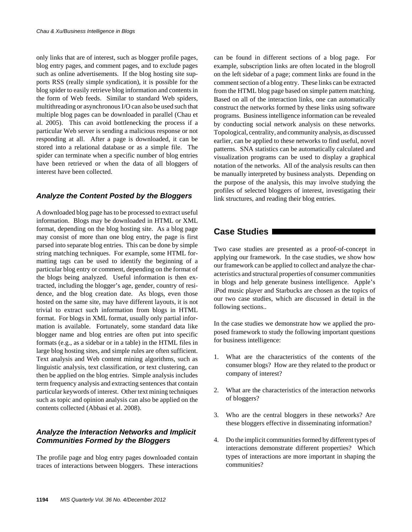only links that are of interest, such as blogger profile pages, blog entry pages, and comment pages, and to exclude pages such as online advertisements. If the blog hosting site supports RSS (really simple syndication), it is possible for the blog spider to easily retrieve blog information and contents in the form of Web feeds. Similar to standard Web spiders, multithreading or asynchronous I/O can also be used such that multiple blog pages can be downloaded in parallel (Chau et al. 2005). This can avoid bottlenecking the process if a particular Web server is sending a malicious response or not responding at all. After a page is downloaded, it can be stored into a relational database or as a simple file. The spider can terminate when a specific number of blog entries have been retrieved or when the data of all bloggers of interest have been collected.

### *Analyze the Content Posted by the Bloggers*

A downloaded blog page has to be processed to extract useful information. Blogs may be downloaded in HTML or XML format, depending on the blog hosting site. As a blog page may consist of more than one blog entry, the page is first parsed into separate blog entries. This can be done by simple string matching techniques. For example, some HTML formatting tags can be used to identify the beginning of a particular blog entry or comment, depending on the format of the blogs being analyzed. Useful information is then extracted, including the blogger's age, gender, country of residence, and the blog creation date. As blogs, even those hosted on the same site, may have different layouts, it is not trivial to extract such information from blogs in HTML format. For blogs in XML format, usually only partial information is available. Fortunately, some standard data like blogger name and blog entries are often put into specific formats (e.g., as a sidebar or in a table) in the HTML files in large blog hosting sites, and simple rules are often sufficient. Text analysis and Web content mining algorithms, such as linguistic analysis, text classification, or text clustering, can then be applied on the blog entries. Simple analysis includes term frequency analysis and extracting sentences that contain particular keywords of interest. Other text mining techniques such as topic and opinion analysis can also be applied on the contents collected (Abbasi et al. 2008).

### *Analyze the Interaction Networks and Implicit Communities Formed by the Bloggers*

The profile page and blog entry pages downloaded contain traces of interactions between bloggers. These interactions can be found in different sections of a blog page. For example, subscription links are often located in the blogroll on the left sidebar of a page; comment links are found in the comment section of a blog entry. These links can be extracted from the HTML blog page based on simple pattern matching. Based on all of the interaction links, one can automatically construct the networks formed by these links using software programs. Business intelligence information can be revealed by conducting social network analysis on these networks. Topological, centrality, and community analysis, as discussed earlier, can be applied to these networks to find useful, novel patterns. SNA statistics can be automatically calculated and visualization programs can be used to display a graphical notation of the networks. All of the analysis results can then be manually interpreted by business analysts. Depending on the purpose of the analysis, this may involve studying the profiles of selected bloggers of interest, investigating their link structures, and reading their blog entries.

### **Case Studies**

Two case studies are presented as a proof-of-concept in applying our framework. In the case studies, we show how our framework can be applied to collect and analyze the characteristics and structural properties of consumer communities in blogs and help generate business intelligence. Apple's iPod music player and Starbucks are chosen as the topics of our two case studies, which are discussed in detail in the following sections..

In the case studies we demonstrate how we applied the proposed framework to study the following important questions for business intelligence:

- 1. What are the characteristics of the contents of the consumer blogs? How are they related to the product or company of interest?
- 2. What are the characteristics of the interaction networks of bloggers?
- 3. Who are the central bloggers in these networks? Are these bloggers effective in disseminating information?
- 4. Do the implicit communities formed by different types of interactions demonstrate different properties? Which types of interactions are more important in shaping the communities?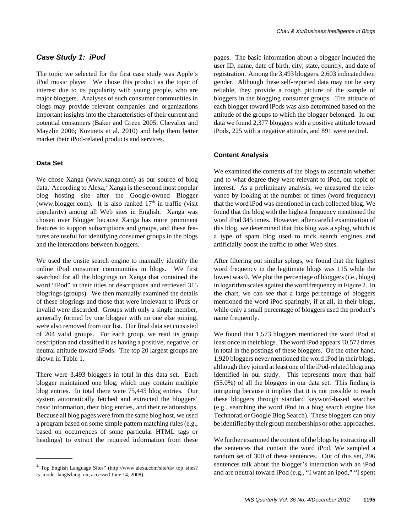### *Case Study 1: iPod*

The topic we selected for the first case study was Apple's iPod music player. We chose this product as the topic of interest due to its popularity with young people, who are major bloggers. Analyses of such consumer communities in blogs may provide relevant companies and organizations important insights into the characteristics of their current and potential consumers (Baker and Green 2005; Chevalier and Mayzlin 2006; Kozinets et al. 2010) and help them better market their iPod-related products and services.

#### **Data Set**

We chose Xanga (www.xanga.com) as our source of blog data. According to Alexa,<sup>2</sup> Xanga is the second most popular blog hosting site after the Google-owned Blogger (www.blogger.com). It is also ranked  $17<sup>th</sup>$  in traffic (visit popularity) among all Web sites in English. Xanga was chosen over Blogger because Xanga has more prominent features to support subscriptions and groups, and these features are useful for identifying consumer groups in the blogs and the interactions between bloggers.

We used the onsite search engine to manually identify the online iPod consumer communities in blogs. We first searched for all the blogrings on Xanga that contained the word "iPod" in their titles or descriptions and retrieved 315 blogrings (groups). We then manually examined the details of these blogrings and those that were irrelevant to iPods or invalid were discarded. Groups with only a single member, generally formed by one blogger with no one else joining, were also removed from our list. Our final data set consisted of 204 valid groups. For each group, we read its group description and classified it as having a positive, negative, or neutral attitude toward iPods. The top 20 largest groups are shown in Table 1.

There were 3,493 bloggers in total in this data set. Each blogger maintained one blog, which may contain multiple blog entries. In total there were 75,445 blog entries. Our system automatically fetched and extracted the bloggers' basic information, their blog entries, and their relationships. Because all blog pages were from the same blog host, we used a program based on some simple pattern matching rules (e.g., based on occurrences of some particular HTML tags or headings) to extract the required information from these

pages. The basic information about a blogger included the user ID, name, date of birth, city, state, country, and date of registration. Among the 3,493 bloggers, 2,603 indicated their gender. Although these self-reported data may not be very reliable, they provide a rough picture of the sample of bloggers in the blogging consumer groups. The attitude of each blogger toward iPods was also determined based on the attitude of the groups to which the blogger belonged. In our data we found 2,377 bloggers with a positive attitude toward iPods, 225 with a negative attitude, and 891 were neutral.

#### **Content Analysis**

We examined the contents of the blogs to ascertain whether and to what degree they were relevant to iPod, our topic of interest. As a preliminary analysis, we measured the relevance by looking at the number of times (word frequency) that the word iPod was mentioned in each collected blog. We found that the blog with the highest frequency mentioned the word iPod 345 times. However, after careful examination of this blog, we determined that this blog was a splog, which is a type of spam blog used to trick search engines and artificially boost the traffic to other Web sites.

After filtering out similar splogs, we found that the highest word frequency in the legitimate blogs was 115 while the lowest was 0. We plot the percentage of bloggers (i.e., blogs) in logarithm scales against the word frequency in Figure 2. In the chart, we can see that a large percentage of bloggers mentioned the word iPod sparingly, if at all, in their blogs, while only a small percentage of bloggers used the product's name frequently.

We found that 1,573 bloggers mentioned the word iPod at least once in their blogs. The word iPod appears 10,572 times in total in the postings of these bloggers. On the other hand, 1,920 bloggers never mentioned the word iPod in their blogs, although they joined at least one of the iPod-related blogrings identified in our study. This represents more than half (55.0%) of all the bloggers in our data set. This finding is intriguing because it implies that it is not possible to reach these bloggers through standard keyword-based searches (e.g., searching the word iPod in a blog search engine like Technorati or Google Blog Search). These bloggers can only be identified by their group memberships or other approaches.

We further examined the content of the blogs by extracting all the sentences that contain the word iPod. We sampled a random set of 300 of these sentences. Out of this set, 296 sentences talk about the blogger's interaction with an iPod and are neutral toward iPod (e.g., "I want an ipod," "I spent

<sup>&</sup>lt;sup>2.</sup>Top English Language Sites" (http://www.alexa.com/site/ds/ top\_sites? ts\_mode=lang&lang=en; accessed June 14, 2008).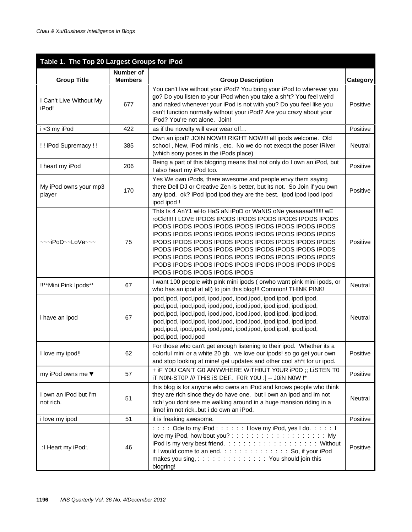| Table 1. The Top 20 Largest Groups for iPod |                             |                                                                                                                                                                                                                                                                                                                                                                                                                                                                                                                      |          |  |  |  |
|---------------------------------------------|-----------------------------|----------------------------------------------------------------------------------------------------------------------------------------------------------------------------------------------------------------------------------------------------------------------------------------------------------------------------------------------------------------------------------------------------------------------------------------------------------------------------------------------------------------------|----------|--|--|--|
| <b>Group Title</b>                          | Number of<br><b>Members</b> | <b>Group Description</b>                                                                                                                                                                                                                                                                                                                                                                                                                                                                                             | Category |  |  |  |
| I Can't Live Without My<br>iPod!            | 677                         | You can't live without your iPod? You bring your iPod to wherever you<br>go? Do you listen to your iPod when you take a sh*t? You feel weird<br>and naked whenever your iPod is not with you? Do you feel like you<br>can't function normally without your iPod? Are you crazy about your<br>iPod? You're not alone. Join!                                                                                                                                                                                           | Positive |  |  |  |
| i <3 my iPod                                | 422                         | as if the novelty will ever wear off                                                                                                                                                                                                                                                                                                                                                                                                                                                                                 | Positive |  |  |  |
| !! iPod Supremacy!!                         | 385                         | Own an ipod? JOIN NOW!!! RIGHT NOW!!! all ipods welcome. Old<br>school, New, iPod minis, etc. No we do not execpt the poser iRiver<br>(which sony poses in the iPods place)                                                                                                                                                                                                                                                                                                                                          | Neutral  |  |  |  |
| I heart my iPod                             | 206                         | Being a part of this blogring means that not only do I own an iPod, but<br>I also heart my iPod too.                                                                                                                                                                                                                                                                                                                                                                                                                 | Positive |  |  |  |
| My iPod owns your mp3<br>player             | 170                         | Yes We own iPods, there awesome and people envy them saying<br>there Dell DJ or Creative Zen is better, but its not. So Join if you own<br>any ipod. ok? iPod lpod ipod they are the best. ipod ipod ipod ipod<br>ipod ipod !                                                                                                                                                                                                                                                                                        | Positive |  |  |  |
| ~~~iPoD~~LoVe~~~                            | 75                          | This Is 4 AnY1 wHo HaS aN iPoD or WaNtS oNe yeaaaaaa!!!!!!! wE<br>roCk !!!!! I LOVE IPODS IPODS IPODS IPODS IPODS IPODS IPODS<br>IPODS IPODS IPODS IPODS IPODS IPODS IPODS IPODS IPODS<br>IPODS IPODS IPODS IPODS IPODS IPODS IPODS IPODS IPODS<br>IPODS IPODS IPODS IPODS IPODS IPODS IPODS IPODS IPODS<br>IPODS IPODS IPODS IPODS IPODS IPODS IPODS IPODS IPODS<br>IPODS IPODS IPODS IPODS IPODS IPODS IPODS IPODS IPODS<br>IPODS IPODS IPODS IPODS IPODS IPODS IPODS IPODS IPODS<br>IPODS IPODS IPODS IPODS IPODS | Positive |  |  |  |
| !!**Mini Pink Ipods**                       | 67                          | I want 100 people with pink mini ipods (orwho want pink mini ipods, or<br>who has an ipod at all) to join this blog!!! Common! THINK PINK!                                                                                                                                                                                                                                                                                                                                                                           | Neutral  |  |  |  |
| i have an ipod                              | 67                          | ipod, ipod, ipod, ipod, ipod, ipod, ipod, ipod, ipod, ipod, ipod, ipod,<br>ipod, ipod, ipod, ipod, ipod, ipod, ipod, ipod, ipod, ipod, ipod, ipod,<br>ipod, ipod, ipod, ipod, ipod, ipod, ipod, ipod, ipod, ipod, ipod, ipod,<br>ipod, ipod, ipod, ipod, ipod, ipod, ipod, ipod, ipod, ipod, ipod, ipod,<br>ipod, ipod, ipod, ipod, ipod, ipod, ipod, ipod, ipod, ipod, ipod, ipod,<br>ipod, ipod, ipod, ipod                                                                                                        | Neutral  |  |  |  |
| I love my ipod!!                            | 62                          | For those who can't get enough listening to their ipod. Whether its a<br>colorful mini or a white 20 gb. we love our ipods! so go get your own<br>and stop looking at mine! get updates and other cool sh*t for ur ipod.                                                                                                                                                                                                                                                                                             | Positive |  |  |  |
| my iPod owns me ♥                           | 57                          | + iF YOU CAN'T GO ANYWHERE WITHOUT YOUR IPOD ;; LISTEN TO<br>iT NON-STOP /// THIS IS DEF. FOR YOU :] -- JOIN NOW !*                                                                                                                                                                                                                                                                                                                                                                                                  | Positive |  |  |  |
| I own an iPod but I'm<br>not rich.          | 51                          | this blog is for anyone who owns an iPod and knows people who think<br>they are rich since they do have one. but i own an ipod and im not<br>rich! you dont see me walking around in a huge mansion riding in a<br>limo! im not rickbut i do own an iPod.                                                                                                                                                                                                                                                            | Neutral  |  |  |  |
| i love my ipod                              | 51                          | it is freaking awesome.                                                                                                                                                                                                                                                                                                                                                                                                                                                                                              | Positive |  |  |  |
| .: I Heart my iPod:.                        | 46                          | : : : : Ode to my iPod : : : : : : I love my iPod, yes I do. : : : : 1<br>love my iPod, how bout you?:::::::::::::::::::::<br>iPod is my very best friend. :::::::::::::::::::: Without<br>it I would come to an end.::::::::::::::: So, if your iPod<br>makes you sing, ::::::::::::::: You should join this<br>blogring!                                                                                                                                                                                           | Positive |  |  |  |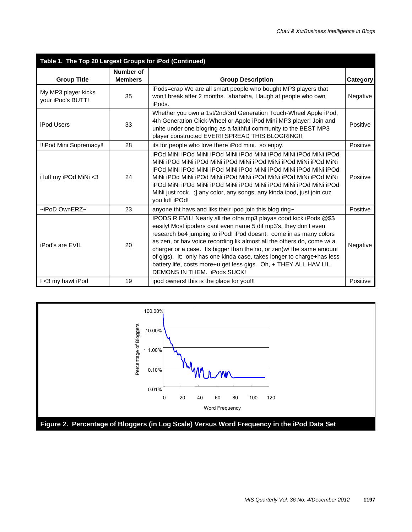| Table 1. The Top 20 Largest Groups for iPod (Continued) |                             |                                                                                                                                                                                                                                                                                                                                                                                                                                                                                                                                             |          |  |  |  |
|---------------------------------------------------------|-----------------------------|---------------------------------------------------------------------------------------------------------------------------------------------------------------------------------------------------------------------------------------------------------------------------------------------------------------------------------------------------------------------------------------------------------------------------------------------------------------------------------------------------------------------------------------------|----------|--|--|--|
| <b>Group Title</b>                                      | Number of<br><b>Members</b> | <b>Group Description</b>                                                                                                                                                                                                                                                                                                                                                                                                                                                                                                                    | Category |  |  |  |
| My MP3 player kicks<br>your iPod's BUTT!                | 35                          | iPods=crap We are all smart people who bought MP3 players that<br>won't break after 2 months. ahahaha, I laugh at people who own<br>iPods.                                                                                                                                                                                                                                                                                                                                                                                                  | Negative |  |  |  |
| <b>iPod Users</b>                                       | 33                          | Whether you own a 1st/2nd/3rd Generation Touch-Wheel Apple iPod,<br>4th Generation Click-Wheel or Apple iPod Mini MP3 player! Join and<br>unite under one blogring as a faithful community to the BEST MP3<br>player constructed EVER!! SPREAD THIS BLOGRING!!                                                                                                                                                                                                                                                                              | Positive |  |  |  |
| !!iPod Mini Supremacy!!                                 | 28                          | its for people who love there iPod mini. so enjoy.                                                                                                                                                                                                                                                                                                                                                                                                                                                                                          | Positive |  |  |  |
| i luff my iPOd MiNi <3                                  | 24                          | iPOd MiNi iPOd MiNi iPOd MiNi iPOd MiNi iPOd MiNi iPOd MiNi iPOd<br>MiNi iPOd MiNi iPOd MiNi iPOd MiNi iPOd MiNi iPOd MiNi iPOd MiNi<br>iPOd MiNi iPOd MiNi iPOd MiNi iPOd MiNi iPOd MiNi iPOd MiNi iPOd<br>MiNi iPOd MiNi iPOd MiNi iPOd MiNi iPOd MiNi iPOd MiNi iPOd MiNi<br>iPOd MiNi iPOd MiNi iPOd MiNi iPOd MiNi iPOd MiNi iPOd MiNi iPOd<br>MiNi just rock. ; any color, any songs, any kinda ipod, just join cuz<br>you luff iPOd!                                                                                                 | Positive |  |  |  |
| $\sim$ iPoD OwnERZ $\sim$                               | 23                          | anyone tht havs and liks their ipod join this blog ring~                                                                                                                                                                                                                                                                                                                                                                                                                                                                                    | Positive |  |  |  |
| iPod's are EVIL                                         | 20                          | IPODS R EVIL! Nearly all the otha mp3 playas cood kick iPods @\$\$<br>easily! Most ipoders cant even name 5 dif mp3's, they don't even<br>research be4 jumping to iPod! iPod doesnt: come in as many colors<br>as zen, or hav voice recording lik almost all the others do, come w/ a<br>charger or a case. Its bigger than the rio, or zen(w/ the same amount<br>of gigs). It: only has one kinda case, takes longer to charge+has less<br>battery life, costs more+u get less gigs. Oh, + THEY ALL HAV LIL<br>DEMONS IN THEM. iPods SUCK! | Negative |  |  |  |
| I <3 my hawt iPod                                       | 19                          | ipod owners! this is the place for you!!!                                                                                                                                                                                                                                                                                                                                                                                                                                                                                                   | Positive |  |  |  |

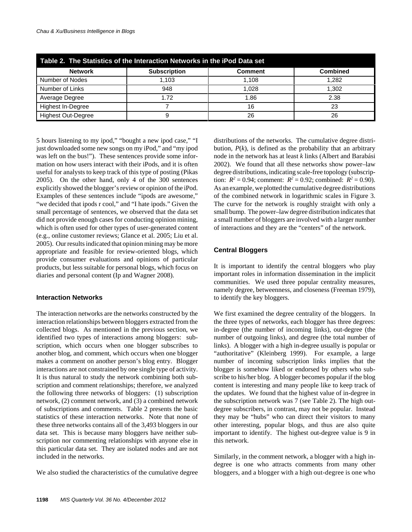| Table 2. The Statistics of the Interaction Networks in the iPod Data set |                     |                |                 |  |  |  |  |
|--------------------------------------------------------------------------|---------------------|----------------|-----------------|--|--|--|--|
| <b>Network</b>                                                           | <b>Subscription</b> | <b>Comment</b> | <b>Combined</b> |  |  |  |  |
| Number of Nodes                                                          | 1.103               | 1.108          | 1.282           |  |  |  |  |
| Number of Links                                                          | 948                 | 1.028          | 1.302           |  |  |  |  |
| Average Degree                                                           | 1.72                | 1.86           | 2.38            |  |  |  |  |
| Highest In-Degree                                                        |                     | 16             | 23              |  |  |  |  |
| <b>Highest Out-Degree</b>                                                |                     | 26             | 26              |  |  |  |  |

5 hours listening to my ipod," "bought a new ipod case," "I just downloaded some new songs on my iPod," and "my ipod was left on the bus!"). These sentences provide some information on how users interact with their iPods, and it is often useful for analysts to keep track of this type of posting (Pikas 2005). On the other hand, only 4 of the 300 sentences explicitly showed the blogger's review or opinion of the iPod. Examples of these sentences include "ipods are awesome," "we decided that ipods r cool," and "I hate ipods." Given the small percentage of sentences, we observed that the data set did not provide enough cases for conducting opinion mining, which is often used for other types of user-generated content (e.g., online customer reviews; Glance et al. 2005; Liu et al. 2005). Our results indicated that opinion mining may be more appropriate and feasible for review-oriented blogs, which provide consumer evaluations and opinions of particular products, but less suitable for personal blogs, which focus on diaries and personal content (Ip and Wagner 2008).

#### **Interaction Networks**

The interaction networks are the networks constructed by the interaction relationships between bloggers extracted from the collected blogs. As mentioned in the previous section, we identified two types of interactions among bloggers: subscription, which occurs when one blogger subscribes to another blog, and comment, which occurs when one blogger makes a comment on another person's blog entry. Blogger interactions are not constrained by one single type of activity. It is thus natural to study the network combining both subscription and comment relationships; therefore, we analyzed the following three networks of bloggers: (1) subscription network, (2) comment network, and (3) a combined network of subscriptions and comments. Table 2 presents the basic statistics of these interaction networks. Note that none of these three networks contains all of the 3,493 bloggers in our data set. This is because many bloggers have neither subscription nor commenting relationships with anyone else in this particular data set. They are isolated nodes and are not included in the networks.

We also studied the characteristics of the cumulative degree

distributions of the networks. The cumulative degree distribution,  $P(k)$ , is defined as the probability that an arbitrary node in the network has at least *k* links (Albert and Barabási 2002). We found that all these networks show power–law degree distributions, indicating scale-free topology (subscription:  $R^2 = 0.94$ ; comment:  $R^2 = 0.92$ ; combined:  $R^2 = 0.90$ ). As an example, we plotted the cumulative degree distributions of the combined network in logarithmic scales in Figure 3. The curve for the network is roughly straight with only a small bump. The power–law degree distribution indicates that a small number of bloggers are involved with a larger number of interactions and they are the "centers" of the network.

### **Central Bloggers**

It is important to identify the central bloggers who play important roles in information dissemination in the implicit communities. We used three popular centrality measures, namely degree, betweenness, and closeness (Freeman 1979), to identify the key bloggers.

We first examined the degree centrality of the bloggers. In the three types of networks, each blogger has three degrees: in-degree (the number of incoming links), out-degree (the number of outgoing links), and degree (the total number of links). A blogger with a high in-degree usually is popular or "authoritative" (Kleinberg 1999). For example, a large number of incoming subscription links implies that the blogger is somehow liked or endorsed by others who subscribe to his/her blog. A blogger becomes popular if the blog content is interesting and many people like to keep track of the updates. We found that the highest value of in-degree in the subscription network was 7 (see Table 2). The high outdegree subscribers, in contrast, may not be popular. Instead they may be "hubs" who can direct their visitors to many other interesting, popular blogs, and thus are also quite important to identify. The highest out-degree value is 9 in this network.

Similarly, in the comment network, a blogger with a high indegree is one who attracts comments from many other bloggers, and a blogger with a high out-degree is one who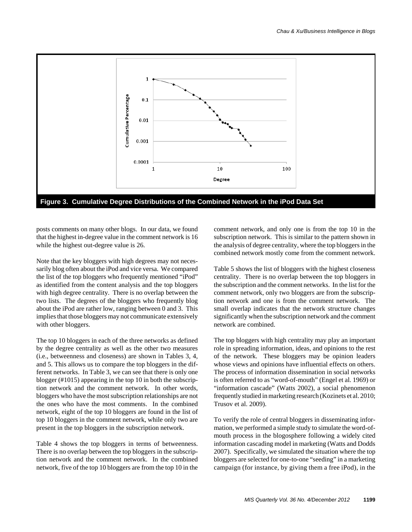

posts comments on many other blogs. In our data, we found that the highest in-degree value in the comment network is 16 while the highest out-degree value is 26.

Note that the key bloggers with high degrees may not necessarily blog often about the iPod and vice versa. We compared the list of the top bloggers who frequently mentioned "iPod" as identified from the content analysis and the top bloggers with high degree centrality. There is no overlap between the two lists. The degrees of the bloggers who frequently blog about the iPod are rather low, ranging between 0 and 3. This implies that those bloggers may not communicate extensively with other bloggers.

The top 10 bloggers in each of the three networks as defined by the degree centrality as well as the other two measures (i.e., betweenness and closeness) are shown in Tables 3, 4, and 5. This allows us to compare the top bloggers in the different networks. In Table 3, we can see that there is only one blogger (#1015) appearing in the top 10 in both the subscription network and the comment network. In other words, bloggers who have the most subscription relationships are not the ones who have the most comments. In the combined network, eight of the top 10 bloggers are found in the list of top 10 bloggers in the comment network, while only two are present in the top bloggers in the subscription network.

Table 4 shows the top bloggers in terms of betweenness. There is no overlap between the top bloggers in the subscription network and the comment network. In the combined network, five of the top 10 bloggers are from the top 10 in the comment network, and only one is from the top 10 in the subscription network. This is similar to the pattern shown in the analysis of degree centrality, where the top bloggers in the combined network mostly come from the comment network.

Table 5 shows the list of bloggers with the highest closeness centrality. There is no overlap between the top bloggers in the subscription and the comment networks. In the list for the comment network, only two bloggers are from the subscription network and one is from the comment network. The small overlap indicates that the network structure changes significantly when the subscription network and the comment network are combined.

The top bloggers with high centrality may play an important role in spreading information, ideas, and opinions to the rest of the network. These bloggers may be opinion leaders whose views and opinions have influential effects on others. The process of information dissemination in social networks is often referred to as "word-of-mouth" (Engel et al. 1969) or "information cascade" (Watts 2002), a social phenomenon frequently studied in marketing research (Kozinets et al. 2010; Trusov et al. 2009).

To verify the role of central bloggers in disseminating information, we performed a simple study to simulate the word-ofmouth process in the blogosphere following a widely cited information cascading model in marketing (Watts and Dodds 2007). Specifically, we simulated the situation where the top bloggers are selected for one-to-one "seeding" in a marketing campaign (for instance, by giving them a free iPod), in the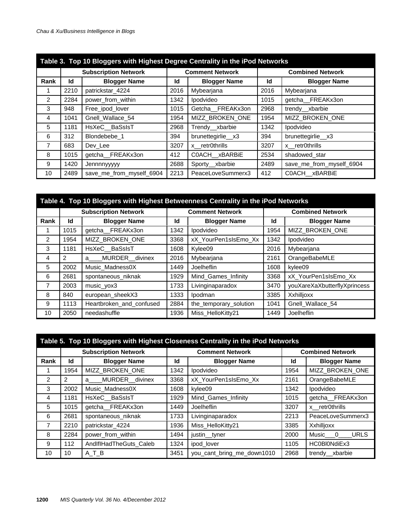| Table 3. Top 10 Bloggers with Highest Degree Centrality in the iPod Networks |      |                             |      |                        |      |                          |  |
|------------------------------------------------------------------------------|------|-----------------------------|------|------------------------|------|--------------------------|--|
|                                                                              |      | <b>Subscription Network</b> |      | <b>Comment Network</b> |      | <b>Combined Network</b>  |  |
| Rank                                                                         | Id   | <b>Blogger Name</b>         | Id   | <b>Blogger Name</b>    | Id   | <b>Blogger Name</b>      |  |
|                                                                              | 2210 | patrickstar 4224            | 2016 | Mybearjana             | 2016 | Mybearjana               |  |
| $\overline{2}$                                                               | 2284 | power_from_within           | 1342 | Ipodvideo              | 1015 | getcha FREAKx3on         |  |
| 3                                                                            | 948  | Free ipod lover             | 1015 | Getcha FREAKx3on       | 2968 | trendy xbarbie           |  |
| 4                                                                            | 1041 | Gnell Wallace 54            | 1954 | MIZZ BROKEN ONE        | 1954 | MIZZ BROKEN ONE          |  |
| 5                                                                            | 1181 | HsXeC_BaSsIsT               | 2968 | Trendy xbarbie         | 1342 | Ipodvideo                |  |
| 6                                                                            | 312  | Blondebebe 1                | 394  | brunettegirlie_x3      | 394  | brunettegirlie_x3        |  |
| $\overline{7}$                                                               | 683  | Dev Lee                     | 3207 | x retr0thrills         | 3207 | x retr0thrills           |  |
| 8                                                                            | 1015 | getcha FREAKx3on            | 412  | C0ACH xBARBIE          | 2534 | shadowed_star            |  |
| 9                                                                            | 1420 | Jennnnyyyyy                 | 2688 | Sporty xbarbie         | 2489 | save_me_from_myself_6904 |  |
| 10                                                                           | 2489 | save_me_from_myself_6904    | 2213 | PeaceLoveSummerx3      | 412  | COACH xBARBIE            |  |

| Table 4. Top 10 Bloggers with Highest Betweenness Centrality in the iPod Networks |      |                             |      |                        |      |                              |  |
|-----------------------------------------------------------------------------------|------|-----------------------------|------|------------------------|------|------------------------------|--|
|                                                                                   |      | <b>Subscription Network</b> |      | <b>Comment Network</b> |      | <b>Combined Network</b>      |  |
| Rank                                                                              | Id   | <b>Blogger Name</b>         | Id   | <b>Blogger Name</b>    | Id   | <b>Blogger Name</b>          |  |
|                                                                                   | 1015 | getcha FREAKx3on            | 1342 | Ipodvideo              | 1954 | MIZZ BROKEN ONE              |  |
| $\overline{2}$                                                                    | 1954 | MIZZ BROKEN ONE             | 3368 | xX_YourPen1sIsEmo_Xx   | 1342 | Ipodvideo                    |  |
| 3                                                                                 | 1181 | HsXeC BaSsIsT               | 1608 | Kylee09                | 2016 | Mybearjana                   |  |
| 4                                                                                 | 2    | MURDER divinex<br>a         | 2016 | Mybearjana             | 2161 | OrangeBabeMLE                |  |
| 5                                                                                 | 2002 | Music Madness0X             | 1449 | Joelheflin             | 1608 | kylee09                      |  |
| 6                                                                                 | 2681 | spontaneous_niknak          | 1929 | Mind Games Infinity    | 3368 | xX_YourPen1sIsEmo_Xx         |  |
| 7                                                                                 | 2003 | music_yox3                  | 1733 | Livinginaparadox       | 3470 | youXareXaXbutterflyXprincess |  |
| 8                                                                                 | 840  | european sheekX3            | 1333 | Ipodman                | 3385 | Xxhilljoxx                   |  |
| 9                                                                                 | 1113 | Heartbroken_and_confused    | 2884 | the_temporary_solution | 1041 | Gnell_Wallace_54             |  |
| 10                                                                                | 2050 | needashuffle                | 1936 | Miss_HelloKitty21      | 1449 | Joelheflin                   |  |

| Table 5. Top 10 Bloggers with Highest Closeness Centrality in the iPod Networks |      |                             |      |                            |      |                                  |
|---------------------------------------------------------------------------------|------|-----------------------------|------|----------------------------|------|----------------------------------|
|                                                                                 |      | <b>Subscription Network</b> |      | <b>Comment Network</b>     |      | <b>Combined Network</b>          |
| Rank                                                                            | Id   | <b>Blogger Name</b>         | Id   | <b>Blogger Name</b>        | Id   | <b>Blogger Name</b>              |
|                                                                                 | 1954 | MIZZ BROKEN ONE             | 1342 | Ipodvideo                  | 1954 | MIZZ BROKEN ONE                  |
| 2                                                                               | 2    | MURDER_divinex<br>a         | 3368 | xX YourPen1sIsEmo Xx       | 2161 | OrangeBabeMLE                    |
| 3                                                                               | 2002 | Music Madness0X             | 1608 | kylee09                    | 1342 | Ipodvideo                        |
| 4                                                                               | 1181 | HsXeC BaSsIsT               | 1929 | Mind Games Infinity        | 1015 | getcha FREAKx3on                 |
| 5                                                                               | 1015 | getcha FREAKx3on            | 1449 | Joelheflin                 | 3207 | x retr0thrills                   |
| 6                                                                               | 2681 | spontaneous niknak          | 1733 | Livinginaparadox           | 2213 | PeaceLoveSummerx3                |
| 7                                                                               | 2210 | patrickstar_4224            | 1936 | Miss HelloKitty21          | 3385 | Xxhilljoxx                       |
| 8                                                                               | 2284 | power_from_within           | 1494 | justin tyner               | 2000 | <b>URLS</b><br>Music<br>$\Omega$ |
| 9                                                                               | 112  | AndIfIHadTheGuts_Caleb      | 1324 | ipod lover                 | 1105 | HC0BI0NdiEx3                     |
| 10                                                                              | 10   | A T B                       | 3451 | you_cant_bring_me_down1010 | 2968 | trendy xbarbie                   |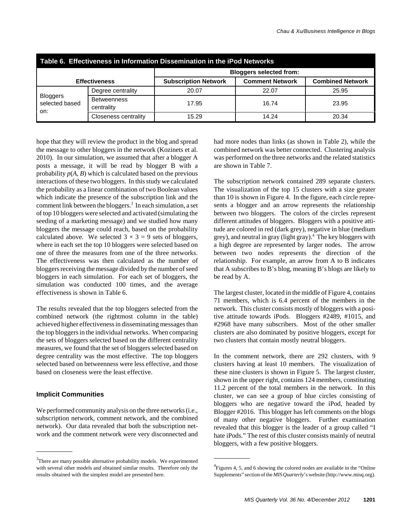| Table 6. Effectiveness in Information Dissemination in the iPod Networks |                                  |                                |                        |                         |  |  |  |  |
|--------------------------------------------------------------------------|----------------------------------|--------------------------------|------------------------|-------------------------|--|--|--|--|
|                                                                          |                                  | <b>Bloggers selected from:</b> |                        |                         |  |  |  |  |
|                                                                          | <b>Effectiveness</b>             | <b>Subscription Network</b>    | <b>Comment Network</b> | <b>Combined Network</b> |  |  |  |  |
| <b>Bloggers</b><br>selected based<br>on:                                 | Degree centrality                | 20.07                          | 22.07                  | 25.95                   |  |  |  |  |
|                                                                          | <b>Betweenness</b><br>centrality | 17.95                          | 16.74                  | 23.95                   |  |  |  |  |
|                                                                          | Closeness centrality             | 15.29                          | 14.24                  | 20.34                   |  |  |  |  |

hope that they will review the product in the blog and spread the message to other bloggers in the network (Kozinets et al. 2010). In our simulation, we assumed that after a blogger A posts a message, it will be read by blogger B with a probability  $p(A, B)$  which is calculated based on the previous interactions of these two bloggers. In this study we calculated the probability as a linear combination of two Boolean values which indicate the presence of the subscription link and the comment link between the bloggers.<sup>3</sup> In each simulation, a set of top 10 bloggers were selected and activated (simulating the seeding of a marketing message) and we studied how many bloggers the message could reach, based on the probability calculated above. We selected  $3 \times 3 = 9$  sets of bloggers, where in each set the top 10 bloggers were selected based on one of three the measures from one of the three networks. The effectiveness was then calculated as the number of bloggers receiving the message divided by the number of seed bloggers in each simulation. For each set of bloggers, the simulation was conducted 100 times, and the average effectiveness is shown in Table 6.

The results revealed that the top bloggers selected from the combined network (the rightmost column in the table) achieved higher effectiveness in disseminating messages than the top bloggers in the individual networks. When comparing the sets of bloggers selected based on the different centrality measures, we found that the set of bloggers selected based on degree centrality was the most effective. The top bloggers selected based on betweenness were less effective, and those based on closeness were the least effective.

#### **Implicit Communities**

We performed community analysis on the three networks (i.e., subscription network, comment network, and the combined network). Our data revealed that both the subscription network and the comment network were very disconnected and

had more nodes than links (as shown in Table 2), while the combined network was better connected. Clustering analysis was performed on the three networks and the related statistics are shown in Table 7.

The subscription network contained 289 separate clusters. The visualization of the top 15 clusters with a size greater than 10 is shown in Figure 4. In the figure, each circle represents a blogger and an arrow represents the relationship between two bloggers. The colors of the circles represent different attitudes of bloggers. Bloggers with a positive attitude are colored in red (dark grey), negative in blue (medium grey), and neutral in gray (light gray).4 The key bloggers with a high degree are represented by larger nodes. The arrow between two nodes represents the direction of the relationship. For example, an arrow from A to B indicates that A subscribes to B's blog, meaning B's blogs are likely to be read by A.

The largest cluster, located in the middle of Figure 4, contains 71 members, which is 6.4 percent of the members in the network. This cluster consists mostly of bloggers with a positive attitude towards iPods. Bloggers #2489, #1015, and #2968 have many subscribers. Most of the other smaller clusters are also dominated by positive bloggers, except for two clusters that contain mostly neutral bloggers.

In the comment network, there are 292 clusters, with 9 clusters having at least 10 members. The visualization of these nine clusters is shown in Figure 5. The largest cluster, shown in the upper right, contains 124 members, constituting 11.2 percent of the total members in the network. In this cluster, we can see a group of blue circles consisting of bloggers who are negative toward the iPod, headed by Blogger #2016. This blogger has left comments on the blogs of many other negative bloggers. Further examination revealed that this blogger is the leader of a group called "I hate iPods." The rest of this cluster consists mainly of neutral bloggers, with a few positive bloggers.

 $3$ There are many possible alternative probability models. We experimented with several other models and obtained similar results. Therefore only the results obtained with the simplest model are presented here.

<sup>&</sup>lt;sup>4</sup> Figures 4, 5, and 6 showing the colored nodes are available in the "Online" Supplements" section of the *MIS Quarterly*'s website (http://www.misq.org).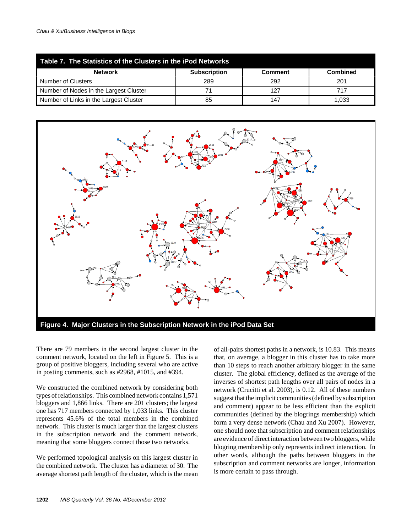| Table 7. The Statistics of the Clusters in the iPod Networks |                     |                |                 |  |  |  |  |
|--------------------------------------------------------------|---------------------|----------------|-----------------|--|--|--|--|
| <b>Network</b>                                               | <b>Subscription</b> | <b>Comment</b> | <b>Combined</b> |  |  |  |  |
| Number of Clusters                                           | 289                 | 292            | 201             |  |  |  |  |
| Number of Nodes in the Largest Cluster                       |                     | 127            | 717             |  |  |  |  |
| Number of Links in the Largest Cluster                       | 85                  | 147            | 1.033           |  |  |  |  |



There are 79 members in the second largest cluster in the comment network, located on the left in Figure 5. This is a group of positive bloggers, including several who are active in posting comments, such as #2968, #1015, and #394.

We constructed the combined network by considering both types of relationships. This combined network contains 1,571 bloggers and 1,866 links. There are 201 clusters; the largest one has 717 members connected by 1,033 links. This cluster represents 45.6% of the total members in the combined network. This cluster is much larger than the largest clusters in the subscription network and the comment network, meaning that some bloggers connect those two networks.

We performed topological analysis on this largest cluster in the combined network. The cluster has a diameter of 30. The average shortest path length of the cluster, which is the mean of all-pairs shortest paths in a network, is 10.83. This means that, on average, a blogger in this cluster has to take more than 10 steps to reach another arbitrary blogger in the same cluster. The global efficiency, defined as the average of the inverses of shortest path lengths over all pairs of nodes in a network (Crucitti et al. 2003), is 0.12. All of these numbers suggest that the implicit communities (defined by subscription and comment) appear to be less efficient than the explicit communities (defined by the blogrings membership) which form a very dense network (Chau and Xu 2007). However, one should note that subscription and comment relationships are evidence of direct interaction between two bloggers, while blogring membership only represents indirect interaction. In other words, although the paths between bloggers in the subscription and comment networks are longer, information is more certain to pass through.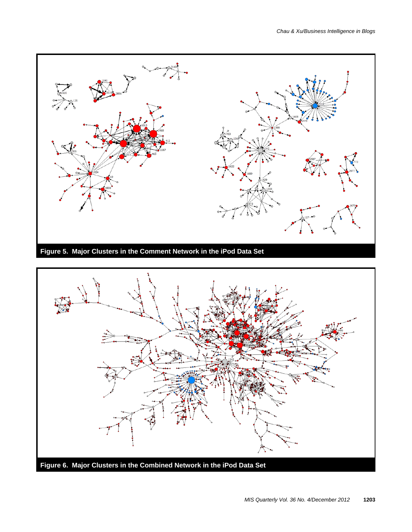



**Figure 6. Major Clusters in the Combined Network in the iPod Data Set**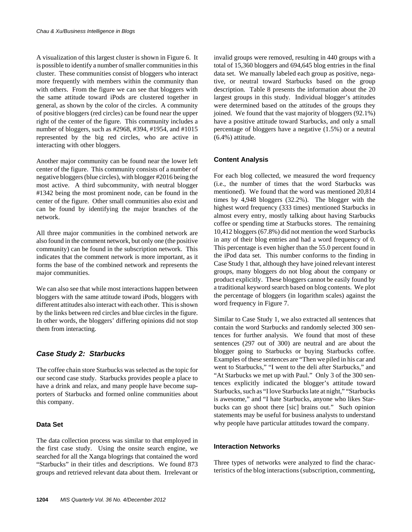A visualization of this largest cluster is shown in Figure 6. It is possible to identify a number of smaller communities in this cluster. These communities consist of bloggers who interact more frequently with members within the community than with others. From the figure we can see that bloggers with the same attitude toward iPods are clustered together in general, as shown by the color of the circles. A community of positive bloggers (red circles) can be found near the upper right of the center of the figure. This community includes a number of bloggers, such as #2968, #394, #1954, and #1015 represented by the big red circles, who are active in interacting with other bloggers.

Another major community can be found near the lower left center of the figure. This community consists of a number of negative bloggers (blue circles), with blogger #2016 being the most active. A third subcommunity, with neutral blogger #1342 being the most prominent node, can be found in the center of the figure. Other small communities also exist and can be found by identifying the major branches of the network.

All three major communities in the combined network are also found in the comment network, but only one (the positive community) can be found in the subscription network. This indicates that the comment network is more important, as it forms the base of the combined network and represents the major communities.

We can also see that while most interactions happen between bloggers with the same attitude toward iPods, bloggers with different attitudes also interact with each other. This is shown by the links between red circles and blue circles in the figure. In other words, the bloggers' differing opinions did not stop them from interacting.

#### *Case Study 2: Starbucks*

The coffee chain store Starbucks was selected as the topic for our second case study. Starbucks provides people a place to have a drink and relax, and many people have become supporters of Starbucks and formed online communities about this company.

#### **Data Set**

The data collection process was similar to that employed in the first case study. Using the onsite search engine, we searched for all the Xanga blogrings that contained the word "Starbucks" in their titles and descriptions. We found 873 groups and retrieved relevant data about them. Irrelevant or

invalid groups were removed, resulting in 440 groups with a total of 15,360 bloggers and 694,645 blog entries in the final data set. We manually labeled each group as positive, negative, or neutral toward Starbucks based on the group description. Table 8 presents the information about the 20 largest groups in this study. Individual blogger's attitudes were determined based on the attitudes of the groups they joined. We found that the vast majority of bloggers (92.1%) have a positive attitude toward Starbucks, and only a small percentage of bloggers have a negative (1.5%) or a neutral (6.4%) attitude.

#### **Content Analysis**

For each blog collected, we measured the word frequency (i.e., the number of times that the word Starbucks was mentioned). We found that the word was mentioned 20,814 times by 4,948 bloggers (32.2%). The blogger with the highest word frequency (333 times) mentioned Starbucks in almost every entry, mostly talking about having Starbucks coffee or spending time at Starbucks stores. The remaining 10,412 bloggers (67.8%) did not mention the word Starbucks in any of their blog entries and had a word frequency of 0. This percentage is even higher than the 55.0 percent found in the iPod data set. This number conforms to the finding in Case Study 1 that, although they have joined relevant interest groups, many bloggers do not blog about the company or product explicitly. These bloggers cannot be easily found by a traditional keyword search based on blog contents. We plot the percentage of bloggers (in logarithm scales) against the word frequency in Figure 7.

Similar to Case Study 1, we also extracted all sentences that contain the word Starbucks and randomly selected 300 sentences for further analysis. We found that most of these sentences (297 out of 300) are neutral and are about the blogger going to Starbucks or buying Starbucks coffee. Examples of these sentences are "Then we piled in his car and went to Starbucks," "I went to the deli after Starbucks," and "At Starbucks we met up with Paul." Only 3 of the 300 sentences explicitly indicated the blogger's attitude toward Starbucks, such as "I love Starbucks late at night," "Starbucks is awesome," and "I hate Starbucks, anyone who likes Starbucks can go shoot there [sic] brains out." Such opinion statements may be useful for business analysts to understand why people have particular attitudes toward the company.

#### **Interaction Networks**

Three types of networks were analyzed to find the characteristics of the blog interactions (subscription, commenting,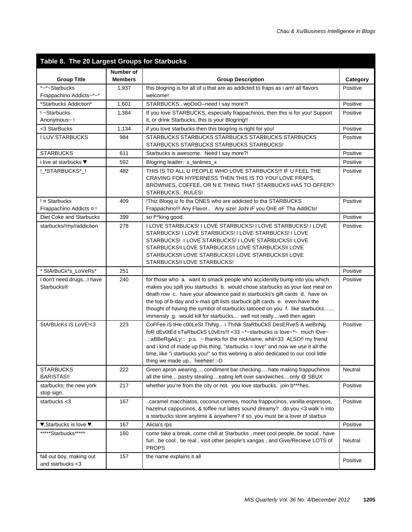| Table 8. The 20 Largest Groups for Starbucks                    |                             |                                                                                                                                                                                                                                                                                                                                                                                                                                                                           |          |  |  |  |  |
|-----------------------------------------------------------------|-----------------------------|---------------------------------------------------------------------------------------------------------------------------------------------------------------------------------------------------------------------------------------------------------------------------------------------------------------------------------------------------------------------------------------------------------------------------------------------------------------------------|----------|--|--|--|--|
| <b>Group Title</b>                                              | Number of<br><b>Members</b> | <b>Group Description</b>                                                                                                                                                                                                                                                                                                                                                                                                                                                  | Category |  |  |  |  |
| *~*~Starbucks                                                   | 1,937                       | this blogring is for all of u that are as addicted to fraps as i am! all flavors                                                                                                                                                                                                                                                                                                                                                                                          | Positive |  |  |  |  |
| Frappachino Addicts~*~*                                         |                             | welcome!                                                                                                                                                                                                                                                                                                                                                                                                                                                                  |          |  |  |  |  |
| *Starbucks Addiction*                                           | 1,601                       | STARBUCKSwoOoO--need I say more?!                                                                                                                                                                                                                                                                                                                                                                                                                                         | Positive |  |  |  |  |
| ! ~Starbucks                                                    | 1,384                       | If you love STARBUCKS, especially frappachinos, then this is for you! Support                                                                                                                                                                                                                                                                                                                                                                                             | Positive |  |  |  |  |
| Anonymous~!                                                     |                             | it, or drink Starbucks, this is your Blogring!!                                                                                                                                                                                                                                                                                                                                                                                                                           |          |  |  |  |  |
| <3 StarBucks                                                    | 1,134                       | if you love starbucks then this blogring is right for you!                                                                                                                                                                                                                                                                                                                                                                                                                | Positive |  |  |  |  |
| <b>I LUV STARBUCKS</b>                                          | 984                         | STARBUCKS STARBUCKS STARBUCKS STARBUCKS STARBUCKS<br>STARBUCKS STARBUCKS STARBUCKS STARBUCKS!                                                                                                                                                                                                                                                                                                                                                                             | Positive |  |  |  |  |
| <b>STARBUCKS</b>                                                | 611                         | Starbucks is awesome. Need I say more?!                                                                                                                                                                                                                                                                                                                                                                                                                                   | Positive |  |  |  |  |
| i live at starbucks ♥                                           | 592                         | Blogring leader: x_tanlines_x                                                                                                                                                                                                                                                                                                                                                                                                                                             | Positive |  |  |  |  |
| !_*STARBUCKS*_!                                                 | 482                         | THIS IS TO ALL U PEOPLE WHO LOVE STARBUCKS !!! IF U FEEL THE<br>CRAVING FOR HYPERNESS THEN THIS IS TO YOU! LOVE FRAPS,<br>BROWNIES, COFFEE, OR N E THING THAT STARBUCKS HAS TO OFFER?<br>STARBUCKSRULES!                                                                                                                                                                                                                                                                  | Positive |  |  |  |  |
| !¤ Starbucks                                                    | 409                         | !Thiz Blogg iz fo tha ONES who are addicted to tha STARBUCKS                                                                                                                                                                                                                                                                                                                                                                                                              | Positive |  |  |  |  |
| Frappachino Addicts ¤ !                                         |                             | Frappachino!!! Any Flavor Any size! JoiN iF you OnE oF Tha AddiCts!                                                                                                                                                                                                                                                                                                                                                                                                       |          |  |  |  |  |
| Diet Coke and Starbucks                                         | 399                         | so f**king good.                                                                                                                                                                                                                                                                                                                                                                                                                                                          | Positive |  |  |  |  |
| starbucks//my//addiction                                        | 278                         | I LOVE STARBUCKS! I LOVE STARBUCKS! I LOVE STARBUCKS! I LOVE<br>STARBUCKS! I LOVE STARBUCKS! I LOVE STARBUCKS! I LOVE<br>STARBUCKS! I LOVE STARBUCKS! I LOVE STARBUCKS!I LOVE<br>STARBUCKS!I LOVE STARBUCKS!I LOVE STARBUCKS!I LOVE<br>STARBUCKS!I LOVE STARBUCKS!I LOVE STARBUCKS!I LOVE<br>STARBUCKS!I LOVE STARBUCKS!                                                                                                                                                  | Positive |  |  |  |  |
| * StArBuCk*s_LoVeRs*                                            | 251                         |                                                                                                                                                                                                                                                                                                                                                                                                                                                                           | Positive |  |  |  |  |
| i don't need drugs I have<br>Starbucks®                         | 240                         | for those who a. want to smack people who accidenitly bump into you which<br>makes you spill you starbucks b. would chose starbucks as your last meal on<br>death row c. have your allowance paid in starbucks's gift cards d. have on<br>the top of b-day and x-mas gift lists starbuck gift cards e. even have the<br>thought of having the symbol of starbucks tatooed on you f. like starbucks<br>immensly g. would kill for starbucks well not reallywell then again | Positive |  |  |  |  |
| StArBUcKs iS LoVE!<3                                            | 223                         | CoFFee iS tHe c00LeSt ThiNg i ThiNk StaRbuCkS DesERveS A weBriNg<br>foR dEv0tEd sTaRbuCkS L0vErs!!! < 33 ~*~ starbucks is love~*~ much l0ve~<br>.:: aBBeRgAiLy::. p.s. ~ thanks for the nickname, whit<33 ALSO!! my friend<br>and i kind of made up this thing, "starbucks = love" and now we use it all the<br>time, like "i starbucks you!" so this webring is also dedicated to our cool little<br>thing we made up heehee! :- D                                       | Positive |  |  |  |  |
| <b>STARBUCKS</b><br><b>BARISTAS!!</b>                           | 222                         | Green apron wearingcondiment bar checkinghate making frappuchinos<br>all the timepastry stealingeating left over sandwichesonly @ SBUX                                                                                                                                                                                                                                                                                                                                    | Neutral  |  |  |  |  |
| starbucks; the new york<br>stop sign.                           | 217                         | whether you're from the city or not. you love starbucks. join b***hes.                                                                                                                                                                                                                                                                                                                                                                                                    | Positive |  |  |  |  |
| starbucks <3                                                    | 167                         | caramel macchiatos, coconut cremes, mocha frappucinos, vanilla espressos,<br>hazelnut cappucinos, & toffee nut lattes sound dreamy? do you <3 walk`n into<br>a starbucks store anytime & anywhere? if so, you must be a lover of starbux                                                                                                                                                                                                                                  | Positive |  |  |  |  |
| $\blacktriangledown$ , Starbucks is love $\blacktriangledown$ , | 167                         | Alicia's rps                                                                                                                                                                                                                                                                                                                                                                                                                                                              | Positive |  |  |  |  |
| *****Starbucks*****                                             | 160                         | come take a break, come chill at Starbucks, meet cool people, be social, have<br>fun, be cool, be real, visit other people's xangas, and Give/Recieve LOTS of<br><b>PROPS</b>                                                                                                                                                                                                                                                                                             | Neutral  |  |  |  |  |
| fall out boy, making out<br>and starbucks $<$ 3                 | 157                         | the name explains it all                                                                                                                                                                                                                                                                                                                                                                                                                                                  | Positive |  |  |  |  |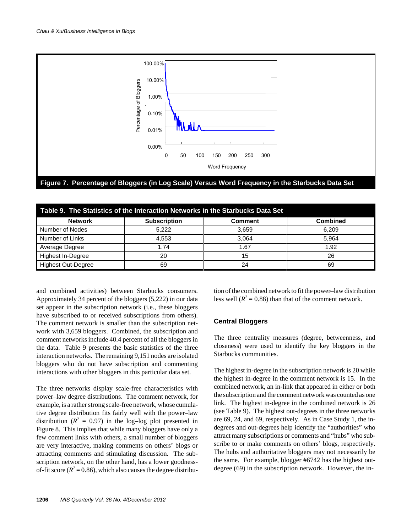

| Table 9. The Statistics of the Interaction Networks in the Starbucks Data Set |                     |                |                 |  |  |  |  |  |
|-------------------------------------------------------------------------------|---------------------|----------------|-----------------|--|--|--|--|--|
| <b>Network</b>                                                                | <b>Subscription</b> | <b>Comment</b> | <b>Combined</b> |  |  |  |  |  |
| Number of Nodes                                                               | 5,222               | 3.659          | 6.209           |  |  |  |  |  |
| Number of Links                                                               | 4.553               | 3.064          | 5.964           |  |  |  |  |  |
| Average Degree                                                                | 1.74                | 1.67           | 1.92            |  |  |  |  |  |
| Highest In-Degree                                                             | 20                  | 15             | 26              |  |  |  |  |  |
| <b>Highest Out-Degree</b>                                                     | 69                  | 24             | 69              |  |  |  |  |  |

and combined activities) between Starbucks consumers. Approximately 34 percent of the bloggers (5,222) in our data set appear in the subscription network (i.e., these bloggers have subscribed to or received subscriptions from others). The comment network is smaller than the subscription network with 3,659 bloggers. Combined, the subscription and comment networks include 40.4 percent of all the bloggers in the data. Table 9 presents the basic statistics of the three interaction networks. The remaining 9,151 nodes are isolated bloggers who do not have subscription and commenting interactions with other bloggers in this particular data set.

The three networks display scale-free characteristics with power–law degree distributions. The comment network, for example, is a rather strong scale-free network, whose cumulative degree distribution fits fairly well with the power–law distribution ( $R^2 = 0.97$ ) in the log-log plot presented in Figure 8. This implies that while many bloggers have only a few comment links with others, a small number of bloggers are very interactive, making comments on others' blogs or attracting comments and stimulating discussion. The subscription network, on the other hand, has a lower goodnessof-fit score ( $R^2 = 0.86$ ), which also causes the degree distribution of the combined network to fit the power–law distribution less well  $(R^2 = 0.88)$  than that of the comment network.

#### **Central Bloggers**

The three centrality measures (degree, betweenness, and closeness) were used to identify the key bloggers in the Starbucks communities.

The highest in-degree in the subscription network is 20 while the highest in-degree in the comment network is 15. In the combined network, an in-link that appeared in either or both the subscription and the comment network was counted as one link. The highest in-degree in the combined network is 26 (see Table 9). The highest out-degrees in the three networks are 69, 24, and 69, respectively. As in Case Study 1, the indegrees and out-degrees help identify the "authorities" who attract many subscriptions or comments and "hubs" who subscribe to or make comments on others' blogs, respectively. The hubs and authoritative bloggers may not necessarily be the same. For example, blogger #6742 has the highest outdegree (69) in the subscription network. However, the in-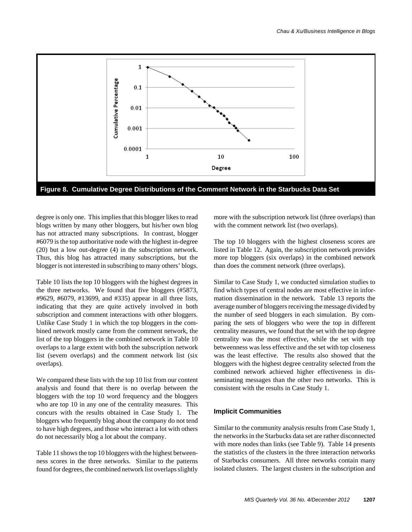

degree is only one. This implies that this blogger likes to read blogs written by many other bloggers, but his/her own blog has not attracted many subscriptions. In contrast, blogger #6079 is the top authoritative node with the highest in-degree (20) but a low out-degree (4) in the subscription network. Thus, this blog has attracted many subscriptions, but the blogger is not interested in subscribing to many others' blogs.

Table 10 lists the top 10 bloggers with the highest degrees in the three networks. We found that five bloggers (#5873, #9629, #6079, #13699, and #335) appear in all three lists, indicating that they are quite actively involved in both subscription and comment interactions with other bloggers. Unlike Case Study 1 in which the top bloggers in the combined network mostly came from the comment network, the list of the top bloggers in the combined network in Table 10 overlaps to a large extent with both the subscription network list (sevem overlaps) and the comment network list (six overlaps).

We compared these lists with the top 10 list from our content analysis and found that there is no overlap between the bloggers with the top 10 word frequency and the bloggers who are top 10 in any one of the centrality measures. This concurs with the results obtained in Case Study 1. The bloggers who frequently blog about the company do not tend to have high degrees, and those who interact a lot with others do not necessarily blog a lot about the company.

Table 11 shows the top 10 bloggers with the highest betweenness scores in the three networks. Similar to the patterns found for degrees, the combined network list overlaps slightly

more with the subscription network list (three overlaps) than with the comment network list (two overlaps).

The top 10 bloggers with the highest closeness scores are listed in Table 12. Again, the subscription network provides more top bloggers (six overlaps) in the combined network than does the comment network (three overlaps).

Similar to Case Study 1, we conducted simulation studies to find which types of central nodes are most effective in information dissemination in the network. Table 13 reports the average number of bloggers receiving the message divided by the number of seed bloggers in each simulation. By comparing the sets of bloggers who were the top in different centrality measures, we found that the set with the top degree centrality was the most effective, while the set with top betweenness was less effective and the set with top closeness was the least effective. The results also showed that the bloggers with the highest degree centrality selected from the combined network achieved higher effectiveness in disseminating messages than the other two networks. This is consistent with the results in Case Study 1.

#### **Implicit Communities**

Similar to the community analysis results from Case Study 1, the networks in the Starbucks data set are rather disconnected with more nodes than links (see Table 9). Table 14 presents the statistics of the clusters in the three interaction networks of Starbucks consumers. All three networks contain many isolated clusters. The largest clusters in the subscription and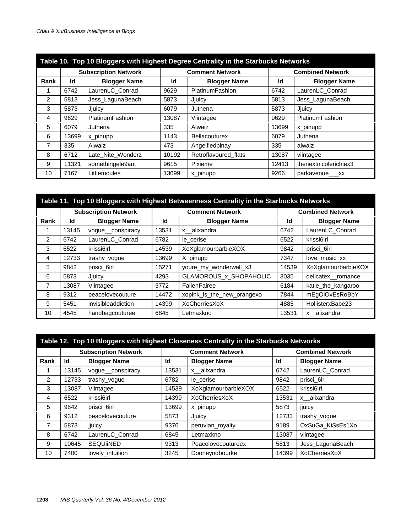| Table 10. Top 10 Bloggers with Highest Degree Centrality in the Starbucks Networks |       |                             |       |                        |       |                         |  |
|------------------------------------------------------------------------------------|-------|-----------------------------|-------|------------------------|-------|-------------------------|--|
|                                                                                    |       | <b>Subscription Network</b> |       | <b>Comment Network</b> |       | <b>Combined Network</b> |  |
| Rank                                                                               | Id    | <b>Blogger Name</b>         | ld    | <b>Blogger Name</b>    | Id    | <b>Blogger Name</b>     |  |
|                                                                                    | 6742  | LaurenLC_Conrad             | 9629  | PlatinumFashion        | 6742  | LaurenLC_Conrad         |  |
| $\mathcal{P}$                                                                      | 5813  | Jess_LagunaBeach            | 5873  | Jjuicy                 | 5813  | Jess_LagunaBeach        |  |
| 3                                                                                  | 5873  | Jjuicy                      | 6079  | Juthena                | 5873  | Jjuicy                  |  |
| 4                                                                                  | 9629  | PlatinumFashion             | 13087 | Viintagee              | 9629  | PlatinumFashion         |  |
| 5                                                                                  | 6079  | Juthena                     | 335   | Alwaiz                 | 13699 | x pinupp                |  |
| 6                                                                                  | 13699 | x_pinupp                    | 1143  | <b>Bellacouturex</b>   | 6079  | Juthena                 |  |
| 7                                                                                  | 335   | Alwaiz                      | 473   | Angelfiedpinay         | 335   | alwaiz                  |  |
| 8                                                                                  | 6712  | Late Nite Wonderz           | 10192 | Retroflavoured_flats   | 13087 | viintagee               |  |
| 9                                                                                  | 11321 | somethingele9ant            | 9615  | Pixieme                | 12413 | thenextnicolerichiex3   |  |
| 10                                                                                 | 7167  | Littlemoules                | 13699 | x_pinupp               | 9266  | parkavenue___xx         |  |

| Table 11. Top 10 Bloggers with Highest Betweenness Centrality in the Starbucks Networks |       |                             |       |                            |       |                         |  |
|-----------------------------------------------------------------------------------------|-------|-----------------------------|-------|----------------------------|-------|-------------------------|--|
|                                                                                         |       | <b>Subscription Network</b> |       | <b>Comment Network</b>     |       | <b>Combined Network</b> |  |
| Rank                                                                                    | ld    | <b>Blogger Name</b>         | Id    | <b>Blogger Name</b>        | Id    | <b>Blogger Name</b>     |  |
|                                                                                         | 13145 | voque conspiracy            | 13531 | x alixandra                | 6742  | LaurenLC_Conrad         |  |
| $\mathcal{P}$                                                                           | 6742  | LaurenLC_Conrad             | 6782  | le cerise                  | 6522  | krissi6irl              |  |
| 3                                                                                       | 6522  | krissi6irl                  | 14539 | XoXglamourbarbieXOX        | 9842  | prisci_6irl             |  |
| 4                                                                                       | 12733 | trashy_vogue                | 13699 | X_pinupp                   | 7347  | love music xx           |  |
| 5                                                                                       | 9842  | prisci_6irl                 | 15271 | youre_my_wonderwall_x3     | 14539 | XoXglamourbarbieXOX     |  |
| 6                                                                                       | 5873  | Jjuicy                      | 4293  | GLAMOROUS_x_SHOPAHOLIC     | 3035  | delicatex romance       |  |
| $\overline{7}$                                                                          | 13087 | Viintagee                   | 3772  | FallenFairee               | 6184  | katie_the_kangaroo      |  |
| 8                                                                                       | 9312  | peacelovecouture            | 14472 | xopink_is_the_new_orangexo | 7844  | mEgOIOvEsRoBbY          |  |
| 9                                                                                       | 5451  | invisibleaddiction          | 14399 | XoCherriesXoX              | 4885  | HollisterxBabe23        |  |
| 10                                                                                      | 4545  | handbagcouturee             | 6845  | Letmaxkno                  | 13531 | x alixandra             |  |

| Table 12. Top 10 Bloggers with Highest Closeness Centrality in the Starbucks Networks |                             |                     |       |                        |       |                         |  |  |  |
|---------------------------------------------------------------------------------------|-----------------------------|---------------------|-------|------------------------|-------|-------------------------|--|--|--|
|                                                                                       | <b>Subscription Network</b> |                     |       | <b>Comment Network</b> |       | <b>Combined Network</b> |  |  |  |
| Rank                                                                                  | Id                          | <b>Blogger Name</b> | Id    | <b>Blogger Name</b>    | Id    | <b>Blogger Name</b>     |  |  |  |
|                                                                                       | 13145                       | vogue conspiracy    | 13531 | x alixandra            | 6742  | LaurenLC_Conrad         |  |  |  |
| $\mathcal{P}$                                                                         | 12733                       | trashy_vogue        | 6782  | le cerise              | 9842  | prisci 6irl             |  |  |  |
| 3                                                                                     | 13087                       | Viintagee           | 14539 | XoXglamourbarbieXOX    | 6522  | krissi6irl              |  |  |  |
| 4                                                                                     | 6522                        | krissi6irl          | 14399 | XoCherriesXoX          | 13531 | x alixandra             |  |  |  |
| 5                                                                                     | 9842                        | prisci 6irl         | 13699 | x pinupp               | 5873  | jiuicy                  |  |  |  |
| 6                                                                                     | 9312                        | peacelovecouture    | 5873  | Jjuicy                 | 12733 | trashy_vogue            |  |  |  |
| 7                                                                                     | 5873                        | jjuicy              | 9376  | peruvian_royalty       | 9189  | OxSuGa_KiSsEs1Xo        |  |  |  |
| 8                                                                                     | 6742                        | LaurenLC_Conrad     | 6845  | Letmaxkno              | 13087 | viintagee               |  |  |  |
| 9                                                                                     | 10645                       | <b>SEQUIINED</b>    | 9313  | Peacelovecoutureex     | 5813  | Jess_LagunaBeach        |  |  |  |
| 10                                                                                    | 7400                        | lovely_intuition    | 3245  | Dooneyndbourke         | 14399 | XoCherriesXoX           |  |  |  |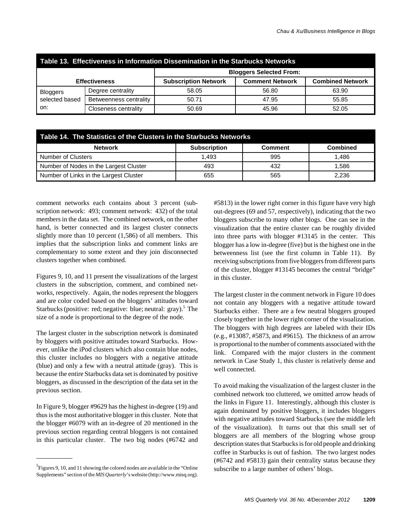| Table 13. Effectiveness in Information Dissemination in the Starbucks Networks |                             |                                |                        |                         |  |  |  |  |  |
|--------------------------------------------------------------------------------|-----------------------------|--------------------------------|------------------------|-------------------------|--|--|--|--|--|
|                                                                                |                             | <b>Bloggers Selected From:</b> |                        |                         |  |  |  |  |  |
| <b>Effectiveness</b>                                                           |                             | <b>Subscription Network</b>    | <b>Comment Network</b> | <b>Combined Network</b> |  |  |  |  |  |
| <b>Bloggers</b>                                                                | Degree centrality           | 58.05                          | 56.80                  | 63.90                   |  |  |  |  |  |
| selected based                                                                 | Betweenness centrality      | 50.71                          | 47.95                  | 55.85                   |  |  |  |  |  |
| on:                                                                            | <b>Closeness centrality</b> | 50.69                          | 45.96                  | 52.05                   |  |  |  |  |  |

| Table 14. The Statistics of the Clusters in the Starbucks Networks |                     |                |                 |  |  |  |  |  |
|--------------------------------------------------------------------|---------------------|----------------|-----------------|--|--|--|--|--|
| <b>Network</b>                                                     | <b>Subscription</b> | <b>Comment</b> | <b>Combined</b> |  |  |  |  |  |
| <b>Number of Clusters</b>                                          | 1.493               | 995            | 1.486           |  |  |  |  |  |
| Number of Nodes in the Largest Cluster                             | 493                 | 432            | 1.586           |  |  |  |  |  |
| Number of Links in the Largest Cluster                             | 655                 | 565            | 2.236           |  |  |  |  |  |

comment networks each contains about 3 percent (subscription network: 493; comment network: 432) of the total members in the data set. The combined network, on the other hand, is better connected and its largest cluster connects slightly more than 10 percent (1,586) of all members. This implies that the subscription links and comment links are complementary to some extent and they join disconnected clusters together when combined.

Figures 9, 10, and 11 present the visualizations of the largest clusters in the subscription, comment, and combined networks, respectively. Again, the nodes represent the bloggers and are color coded based on the bloggers' attitudes toward Starbucks (positive: red; negative: blue; neutral: gray).<sup>5</sup> The size of a node is proportional to the degree of the node.

The largest cluster in the subscription network is dominated by bloggers with positive attitudes toward Starbucks. However, unlike the iPod clusters which also contain blue nodes, this cluster includes no bloggers with a negative attitude (blue) and only a few with a neutral attitude (gray). This is because the entire Starbucks data set is dominated by positive bloggers, as discussed in the description of the data set in the previous section.

In Figure 9, blogger #9629 has the highest in-degree (19) and thus is the most authoritative blogger in this cluster. Note that the blogger #6079 with an in-degree of 20 mentioned in the previous section regarding central bloggers is not contained in this particular cluster. The two big nodes (#6742 and

<sup>5</sup> Figures 9, 10, and 11 showing the colored nodes are available in the "Online" subscribe to a large number of others' blogs. Supplements" section of the *MIS Quarterly*'s website (http://www.misq.org).

#5813) in the lower right corner in this figure have very high out-degrees (69 and 57, respectively), indicating that the two bloggers subscribe to many other blogs. One can see in the visualization that the entire cluster can be roughly divided into three parts with blogger #13145 in the center. This blogger has a low in-degree (five) but is the highest one in the betweenness list (see the first column in Table 11). By receiving subscriptions from five bloggers from different parts of the cluster, blogger #13145 becomes the central "bridge" in this cluster.

The largest cluster in the comment network in Figure 10 does not contain any bloggers with a negative attitude toward Starbucks either. There are a few neutral bloggers grouped closely together in the lower right corner of the visualization. The bloggers with high degrees are labeled with their IDs (e.g., #13087, #5873, and #9615). The thickness of an arrow is proportional to the number of comments associated with the link. Compared with the major clusters in the comment network in Case Study 1, this cluster is relatively dense and well connected.

To avoid making the visualization of the largest cluster in the combined network too cluttered, we omitted arrow heads of the links in Figure 11. Interestingly, although this cluster is again dominated by positive bloggers, it includes bloggers with negative attitudes toward Starbucks (see the middle left of the visualization). It turns out that this small set of bloggers are all members of the blogring whose group description states that Starbucks is for old people and drinking coffee in Starbucks is out of fashion. The two largest nodes (#6742 and #5813) gain their centrality status because they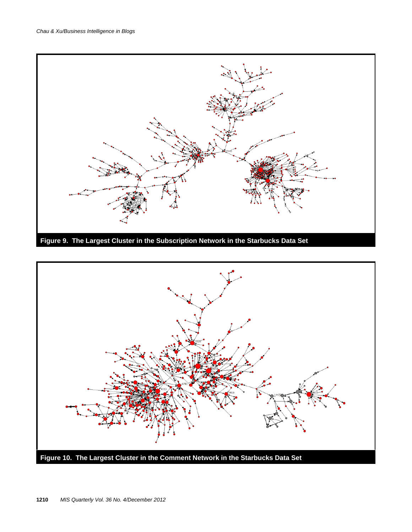

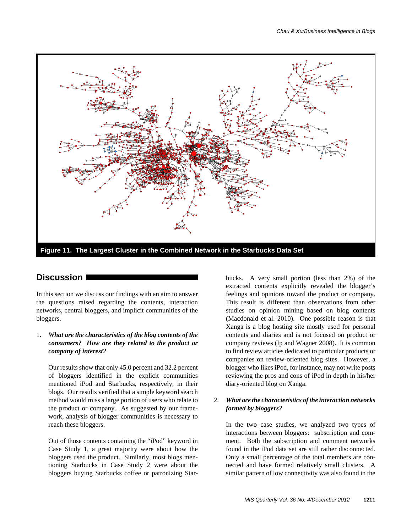

### **Discussion**

In this section we discuss our findings with an aim to answer the questions raised regarding the contents, interaction networks, central bloggers, and implicit communities of the bloggers.

#### 1. *What are the characteristics of the blog contents of the consumers? How are they related to the product or company of interest?*

Our results show that only 45.0 percent and 32.2 percent of bloggers identified in the explicit communities mentioned iPod and Starbucks, respectively, in their blogs. Our results verified that a simple keyword search method would miss a large portion of users who relate to the product or company. As suggested by our framework, analysis of blogger communities is necessary to reach these bloggers.

Out of those contents containing the "iPod" keyword in Case Study 1, a great majority were about how the bloggers used the product. Similarly, most blogs mentioning Starbucks in Case Study 2 were about the bloggers buying Starbucks coffee or patronizing Star-

bucks. A very small portion (less than 2%) of the extracted contents explicitly revealed the blogger's feelings and opinions toward the product or company. This result is different than observations from other studies on opinion mining based on blog contents (Macdonald et al. 2010). One possible reason is that Xanga is a blog hosting site mostly used for personal contents and diaries and is not focused on product or company reviews (Ip and Wagner 2008). It is common to find review articles dedicated to particular products or companies on review-oriented blog sites. However, a blogger who likes iPod, for instance, may not write posts reviewing the pros and cons of iPod in depth in his/her diary-oriented blog on Xanga.

#### 2. *What are the characteristics of the interaction networks formed by bloggers?*

In the two case studies, we analyzed two types of interactions between bloggers: subscription and comment. Both the subscription and comment networks found in the iPod data set are still rather disconnected. Only a small percentage of the total members are connected and have formed relatively small clusters. A similar pattern of low connectivity was also found in the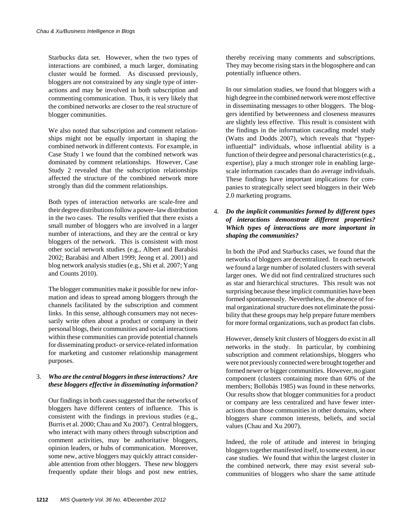Starbucks data set. However, when the two types of interactions are combined, a much larger, dominating cluster would be formed. As discussed previously, bloggers are not constrained by any single type of interactions and may be involved in both subscription and commenting communication. Thus, it is very likely that the combined networks are closer to the real structure of blogger communities.

We also noted that subscription and comment relationships might not be equally important in shaping the combined network in different contexts. For example, in Case Study 1 we found that the combined network was dominated by comment relationships. However, Case Study 2 revealed that the subscription relationships affected the structure of the combined network more strongly than did the comment relationships.

Both types of interaction networks are scale-free and their degree distributions follow a power–law distribution in the two cases. The results verified that there exists a small number of bloggers who are involved in a larger number of interactions, and they are the central or key bloggers of the network. This is consistent with most other social network studies (e.g., Albert and Barabási 2002; Barabási and Albert 1999; Jeong et al. 2001) and blog network analysis studies (e.g., Shi et al. 2007; Yang and Counts 2010).

The blogger communities make it possible for new information and ideas to spread among bloggers through the channels facilitated by the subscription and comment links. In this sense, although consumers may not necessarily write often about a product or company in their personal blogs, their communities and social interactions within these communities can provide potential channels for disseminating product- or service-related information for marketing and customer relationship management purposes.

### 3. *Who are the central bloggers in these interactions? Are these bloggers effective in disseminating information?*

Our findings in both cases suggested that the networks of bloggers have different centers of influence. This is consistent with the findings in previous studies (e.g., Burris et al. 2000; Chau and Xu 2007). Central bloggers, who interact with many others through subscription and comment activities, may be authoritative bloggers, opinion leaders, or hubs of communication. Moreover, some new, active bloggers may quickly attract considerable attention from other bloggers. These new bloggers frequently update their blogs and post new entries,

thereby receiving many comments and subscriptions. They may become rising stars in the blogosphere and can potentially influence others.

In our simulation studies, we found that bloggers with a high degree in the combined network were most effective in disseminating messages to other bloggers. The bloggers identified by betweenness and closeness measures are slightly less effective. This result is consistent with the findings in the information cascading model study (Watts and Dodds 2007), which reveals that "hyperinfluential" individuals, whose influential ability is a function of their degree and personal characteristics (e.g., expertise), play a much stronger role in enabling largescale information cascades than do average individuals. These findings have important implications for companies to strategically select seed bloggers in their Web 2.0 marketing programs.

### 4. *Do the implicit communities formed by different types of interactions demonstrate different properties? Which types of interactions are more important in shaping the communities?*

In both the iPod and Starbucks cases, we found that the networks of bloggers are decentralized. In each network we found a large number of isolated clusters with several larger ones. We did not find centralized structures such as star and hierarchical structures. This result was not surprising because these implicit communities have been formed spontaneously. Nevertheless, the absence of formal organizational structure does not eliminate the possibility that these groups may help prepare future members for more formal organizations, such as product fan clubs.

However, densely knit clusters of bloggers do exist in all networks in the study. In particular, by combining subscription and comment relationships, bloggers who were not previously connected were brought together and formed newer or bigger communities. However, no giant component (clusters containing more than 60% of the members; Bollobás 1985) was found in these networks. Our results show that blogger communities for a product or company are less centralized and have fewer interactions than those communities in other domains, where bloggers share common interests, beliefs, and social values (Chau and Xu 2007).

Indeed, the role of attitude and interest in bringing bloggers together manifested itself, to some extent, in our case studies. We found that within the largest cluster in the combined network, there may exist several subcommunities of bloggers who share the same attitude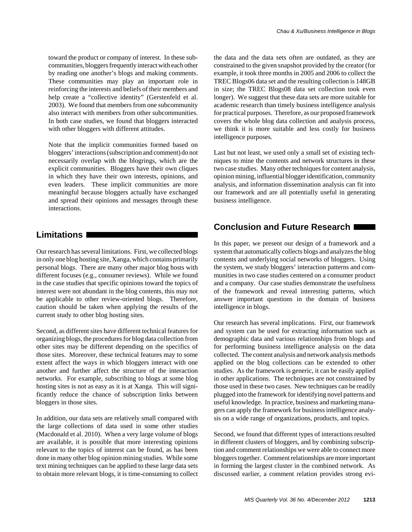These communities may play an important role in reinforcing the interests and beliefs of their members and help create a "collective identity" (Gerstenfeld et al. 2003). We found that members from one subcommunity also interact with members from other subcommunities. In both case studies, we found that bloggers interacted with other bloggers with different attitudes.

Note that the implicit communities formed based on bloggers' interactions (subscription and comment) do not necessarily overlap with the blogrings, which are the explicit communities. Bloggers have their own cliques in which they have their own interests, opinions, and even leaders. These implicit communities are more meaningful because bloggers actually have exchanged and spread their opinions and messages through these interactions.

# **Limitations**

Our research has several limitations. First, we collected blogs in only one blog hosting site, Xanga, which contains primarily personal blogs. There are many other major blog hosts with different focuses (e.g., consumer reviews). While we found in the case studies that specific opinions toward the topics of interest were not abundant in the blog contents, this may not be applicable to other review-oriented blogs. Therefore, caution should be taken when applying the results of the current study to other blog hosting sites.

Second, as different sites have different technical features for organizing blogs, the procedures for blog data collection from other sites may be different depending on the specifics of those sites. Moreover, these technical features may to some extent affect the ways in which bloggers interact with one another and further affect the structure of the interaction networks. For example, subscribing to blogs at some blog hosting sites is not as easy as it is at Xanga. This will significantly reduce the chance of subscription links between bloggers in those sites.

In addition, our data sets are relatively small compared with the large collections of data used in some other studies (Macdonald et al. 2010). When a very large volume of blogs are available, it is possible that more interesting opinions relevant to the topics of interest can be found, as has been done in many other blog opinion mining studies. While some text mining techniques can be applied to these large data sets to obtain more relevant blogs, it is time-consuming to collect the data and the data sets often are outdated, as they are constrained to the given snapshot provided by the creator (for example, it took three months in 2005 and 2006 to collect the TREC Blogs06 data set and the resulting collection is 148GB in size; the TREC Blogs08 data set collection took even longer). We suggest that these data sets are more suitable for academic research than timely business intelligence analysis for practical purposes. Therefore, as our proposed framework covers the whole blog data collection and analysis process, we think it is more suitable and less costly for business intelligence purposes.

Last but not least, we used only a small set of existing techniques to mine the contents and network structures in these two case studies. Many other techniques for content analysis, opinion mining, influential blogger identification, community analysis, and information dissemination analysis can fit into our framework and are all potentially useful in generating business intelligence.

# **Conclusion and Future Research**

In this paper, we present our design of a framework and a system that automatically collects blogs and analyzes the blog contents and underlying social networks of bloggers. Using the system, we study bloggers' interaction patterns and communities in two case studies centered on a consumer product and a company. Our case studies demonstrate the usefulness of the framework and reveal interesting patterns, which answer important questions in the domain of business intelligence in blogs.

Our research has several implications. First, our framework and system can be used for extracting information such as demographic data and various relationships from blogs and for performing business intelligence analysis on the data collected. The content analysis and network analysis methods applied on the blog collections can be extended to other studies. As the framework is generic, it can be easily applied in other applications. The techniques are not constrained by those used in these two cases. New techniques can be readily plugged into the framework for identifying novel patterns and useful knowledge. In practice, business and marketing managers can apply the framework for business intelligence analysis on a wide range of organizations, products, and topics.

Second, we found that different types of interactions resulted in different clusters of bloggers, and by combining subscription and comment relationships we were able to connect more bloggers together. Comment relationships are more important in forming the largest cluster in the combined network. As discussed earlier, a comment relation provides strong evi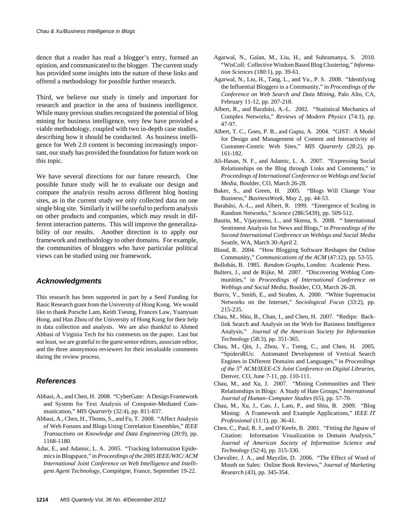dence that a reader has read a blogger's entry, formed an opinion, and communicated to the blogger. The current study has provided some insights into the nature of these links and offered a methodology for possible further research.

Third, we believe our study is timely and important for research and practice in the area of business intelligence. While many previous studies recognized the potential of blog mining for business intelligence, very few have provided a viable methodology, coupled with two in-depth case studies, describing how it should be conducted. As business intelligence for Web 2.0 content is becoming increasingly important, our study has provided the foundation for future work on this topic.

We have several directions for our future research. One possible future study will be to evaluate our design and compare the analysis results across different blog hosting sites, as in the current study we only collected data on one single blog site. Similarly it will be useful to perform analysis on other products and companies, which may result in different interaction patterns. This will improve the generalizability of our results. Another direction is to apply our framework and methodology to other domains. For example, the communities of bloggers who have particular political views can be studied using our framework.

#### *Acknowledgments*

This research has been supported in part by a Seed Funding for Basic Research grant from the University of Hong Kong. We would like to thank Porsche Lam, Keith Tseung, Frances Law, Yuanyuan Hong, and Han Zhou of the University of Hong Kong for their help in data collection and analysis. We are also thankful to Ahmed Abbasi of Virginia Tech for his comments on the paper. Last but not least, we are grateful to the guest senior editors, associate editor, and the three anonymous reviewers for their invaluable comments during the review process.

#### *References*

- Abbasi, A., and Chen, H. 2008. "CyberGate: A Design Framework and System for Text Analysis of Computer-Mediated Communication," *MIS Quarterly* (32:4), pp. 811-837.
- Abbasi, A., Chen, H., Thoms, S., and Fu, T. 2008. "Affect Analysis of Web Forums and Blogs Using Correlation Ensembles," *IEEE Transactions on Knowledge and Data Engineering* (20:9), pp. 1168-1180.
- Adar, E., and Adamic, L. A. 2005. "Tracking Information Epidemics in Blogspace," in *Proceedings of the 2005 IEEE/WIC/ ACM International Joint Conference on Web Intelligence and Intelligent Agent Technology*, Compiègne, France, September 19-22.
- Agarwal, N., Galan, M., Liu, H., and Subramanya, S. 2010. "WisColl: Collective Wisdom Based Blog Clustering," *Information Sciences* (180:1), pp. 39-61.
- Agarwal, N., Liu, H., Tang, L., and Yu., P. S. 2008. "Identifying the Influential Bloggers in a Community," in *Proceedings of the Conference on Web Search and Data Mining*, Palo Alto, CA, February 11-12, pp. 207-218.
- Albert, R., and Barabási, A.-L. 2002. "Statistical Mechanics of Complex Networks," *Reviews of Modern Physics* (74:1), pp. 47-97.
- Albert, T. C., Goes, P. B., and Gupta, A. 2004. "GIST: A Model for Design and Management of Content and Interactivity of Customer-Centric Web Sites," *MIS Quarterly* (28:2), pp. 161-182.
- Ali-Hasan, N. F., and Adamic, L. A. 2007. "Expressing Social Relationships on the Blog through Links and Comments," in *Proceedings of International Conference on Weblogs and Social Media,* Boulder, CO, March 26-28.
- Baker, S., and Green, H. 2005. "Blogs Will Change Your Business," *BusinessWeek*, May 2, pp. 44-53.
- Barabási, A.-L., and Albert, R. 1999. "Emergence of Scaling in Random Networks," *Science* (286:5439), pp. 509-512.
- Bautin, M., Vijayarenu, L., and Skiena, S. 2008. " International Sentiment Analysis for News and Blogs," in *Proceedings of the Second International Conference on Weblogs and Social Media* Seattle, WA, March 30-April 2.
- Blood, R. 2004. "How Blogging Software Reshapes the Online Community," *Communications of the ACM* (47:12), pp. 53-55.
- Bollobás, B. 1985. *Random Graphs*, London: Academic Press.
- Bulters, J., and de Rijke, M. 2007. "Discovering Weblog Communities," in *Proceedings of International Conference on Weblogs and Social Media*, Boulder, CO, March 26-28.
- Burris, V., Smith, E., and Strahm, A. 2000. "White Supremacist Networks on the Internet," *Sociological Focus* (33:2), pp. 215-235.
- Chau, M., Shiu, B., Chan, I., and Chen, H. 2007. "Redips: Backlink Search and Analysis on the Web for Business Intelligence Analysis," *Journal of the American Society for Information Technology* (58:3), pp. 351-365.
- Chau, M., Qin, J., Zhou, Y., Tseng, C., and Chen, H. 2005. "SpidersRUs: Automated Development of Vertical Search Engines in Different Domains and Languages," in *Proceedings of the 5th ACM/IEEE-CS Joint Conference on Digital Libraries*, Denver, CO, June 7-11, pp. 110-111.
- Chau, M., and Xu, J. 2007. "Mining Communities and Their Relationships in Blogs: A Study of Hate Groups," *International Journal of Human–Computer Studies* (65), pp. 57-70.
- Chau, M., Xu, J., Cao, J., Lam, P., and Shiu, B. 2009. "Blog Mining: A Framework and Example Applications," *IEEE IT Professional* (11:1), pp. 36-41.
- Chen, C., Paul, R. J., and O'Keefe, B. 2001. "Fitting the Jigsaw of Citation: Information Visualization in Domain Analysis," *Journal of American Society of Information Science and Technology* (52:4), pp. 315-330.
- Chevalier, J. A., and Mayzlin, D. 2006. "The Effect of Word of Mouth on Sales: Online Book Reviews," *Journal of Marketing Research* (43), pp. 345-354.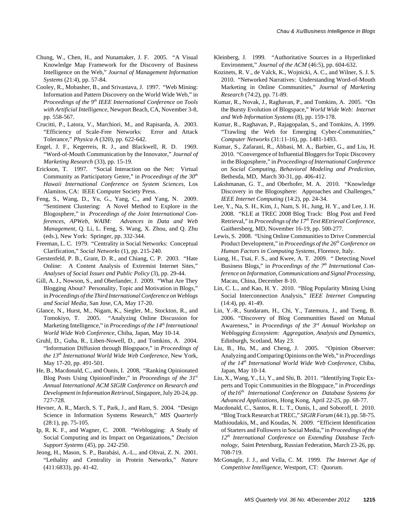- Cooley, R., Mobasher, B., and Srivastava, J. 1997. "Web Mining: Information and Pattern Discovery on the World Wide Web," in *Proceedings of the 9<sup>th</sup> IEEE International Conference on Tools with Artificial Intelligence*, Newport Beach, CA, November 3-8, pp. 558-567.
- Crucitti, P., Latora, V., Marchiori, M., and Rapisarda, A. 2003. "Efficiency of Scale-Free Networks: Error and Attack Tolerance," *Physica A* (320), pp. 622-642.
- Engel, J. F., Kegerreis, R. J., and Blackwell, R. D. 1969. "Word-of-Mouth Communication by the Innovator," *Journal of Marketing Research* (33), pp. 15-19.
- Erickson, T. 1997. "Social Interaction on the Net: Virtual Community as Participatory Genre," in *Proceedings of the 30th Hawaii International Conference on System Sciences*, Los Alamitos, CA: IEEE Computer Society Press.
- Feng, S., Wang, D., Yu, G., Yang, C., and Yang, N. 2009. "Sentiment Clustering: A Novel Method to Explore in the Blogosphere," in *Proceedings of the Joint International Conferences, APWeb, WAIM: Advances in Data and Web Management,* Q. Li, L. Feng, S. Wang, X. Zhou, and Q. Zhu (eds.), New York: Springer, pp. 332-344.
- Freeman, L. C. 1979. "Centrality in Social Networks: Conceptual Clarification," *Social Networks* (1), pp. 215-240.
- Gerstenfeld, P. B., Grant, D. R., and Chiang, C. P. 2003. "Hate Online: A Content Analysis of Extremist Internet Sites," *Analyses of Social Issues and Public Policy* (3), pp. 29-44.
- Gill, A. J., Nowson, S., and Oberlander, J. 2009. "What Are They Blogging About? Personality, Topic and Motivation in Blogs," in *Proceedings of the Third International Conference on Weblogs and Social Media,* San Jose, CA, May 17-20.
- Glance, N., Hurst, M., Nigam, K., Siegler, M., Stockton, R., and Tomokiyo, T. 2005. "Analyzing Online Discussion for Marketing Intelligence," in *Proceedings of the 14th International World Wide Web Conference*, Chiba, Japan, May 10-14.
- Gruhl, D., Guha, R., Liben-Nowell, D., and Tomkins, A. 2004. "Information Diffusion through Blogspace," in *Proceedings of the 13th International World Wide Web Conference*, New York, May 17-20, pp. 491-501.
- He, B., Macdonald, C., and Ounis, I. 2008, "Ranking Opinionated Blog Posts Using OpinionFinder," in *Proceedings of the 31st Annual International ACM SIGIR Conference on Research and Development in Information Retrieval*, Singapore, July 20-24, pp. 727-728.
- Hevner, A. R., March, S. T., Park, J., and Ram, S. 2004. "Design Science in Information Systems Research," *MIS Quarterly* (28:1), pp. 75-105.
- Ip, R. K. F., and Wagner, C. 2008. "Weblogging: A Study of Social Computing and its Impact on Organizations," *Decision Support Systems* (45), pp. 242-250.
- Jeong, H., Mason, S. P., Barabási, A.-L., and Oltvai, Z. N. 2001. "Lethality and Centrality in Protein Networks," *Nature* (411:6833), pp. 41-42.
- Kleinberg, J. 1999. "Authoritative Sources in a Hyperlinked Environment," *Journal of the ACM* (46:5), pp. 604-632.
- Kozinets, R. V., de Valck, K., Wojnicki, A. C., and Wilner, S. J. S. 2010. "Networked Narratives: Understanding Word-of-Mouth Marketing in Online Communities," *Journal of Marketing Research* (74:2), pp. 71-89.
- Kumar, R., Novak, J., Raghavan, P., and Tomkins, A. 2005. "On the Bursty Evolution of Blogspace," *World Wide Web: Internet and Web Information Systems* (8), pp. 159-178.
- Kumar, R., Raghavan, P., Rajagopalan, S., and Tomkins, A. 1999. "Trawling the Web for Emerging Cyber-Communities," *Computer Networks* (31:11-16), pp. 1481-1493.
- Kumar, S., Zafarani, R., Abbasi, M. A., Barbier, G., and Liu, H. 2010. "Convergence of Influential Bloggers for Topic Discovery in the Blogosphere," in *Proceedings of International Conference on Social Computing, Behavioral Modeling and Prediction*, Bethesda, MD, March 30-31, pp. 406-412.
- Lakshmanan, G. T., and Oberhofer, M. A. 2010. "Knowledge Discovery in the Blogosphere: Approaches and Challenges," *IEEE Internet Computing* (14:2), pp. 24-34.
- Lee, Y., Na, S. H., Kim, J., Nam, S. H., Jung, H. Y., and Lee, J. H. 2008. "KLE at TREC 2008 Blog Track: Blog Post and Feed Retrieval," in *Proceedings of the 17th Text REtrieval Conference*, Gaithersberg, MD, November 16-19, pp. 500-277.
- Lewis, S. 2008. "Using Online Communities to Drive Commercial Product Development," in *Proceedings of the 26th Conference on Human Factors in Computing Systems*, Florence, Italy.
- Liang, H., Tsai, F. S., and Kwee, A. T. 2009. " Detecting Novel Business Blogs," in *Proceedings of the 7<sup>th</sup> International Conference on Information, Communications and Signal Processing*, Macau, China, December 8-10.
- Lin, C. L., and Kao, H. Y. 2010. "Blog Popularity Mining Using Social Interconnection Analysis," *IEEE Internet Computing* (14:4), pp. 41-49.
- Lin, Y.-R., Sundaram, H., Chi, Y., Tatemura, J., and Tseng, B. 2006. "Discovery of Blog Communities Based on Mutual Awareness," in *Proceedings of the 3rd Annual Workshop on Weblogging Ecosystem: Aggregation, Analysis and Dynamics*, Edinburgh, Scotland, May 23.
- Liu, B., Hu, M., and Cheng, J. 2005. "Opinion Observer: Analyzing and Comparing Opinions on the Web," in *Proceedings of the 14th International World Wide Web Conference*, Chiba, Japan, May 10-14.
- Liu, X., Wang, Y., Li, Y., and Shi, B. 2011. "Identifying Topic Experts and Topic Communities in the Blogspace," in *Proceedings of the16th International Conference on Database Systems for Advanced Applications*, Hong Kong, April 22-25, pp. 68-77.
- Macdonald, C., Santos, R. L. T., Ounis, I., and Soboroff, I. 2010. "Blog Track Research at TREC," *SIGIR Forum* (44:1), pp. 58-75.
- Mathioudakis, M., and Koudas, N. 2009. "Efficient Identification of Starters and Followers in Social Media," in *Proceedings of the 12th International Conference on Extending Database Technology*, Saint Petersburg, Russian Federation, March 23-26, pp. 708-719.
- McGonagle, J. J., and Vella, C. M. 1999. *The Internet Age of Competitive Intelligence*, Westport, CT: Quorum.